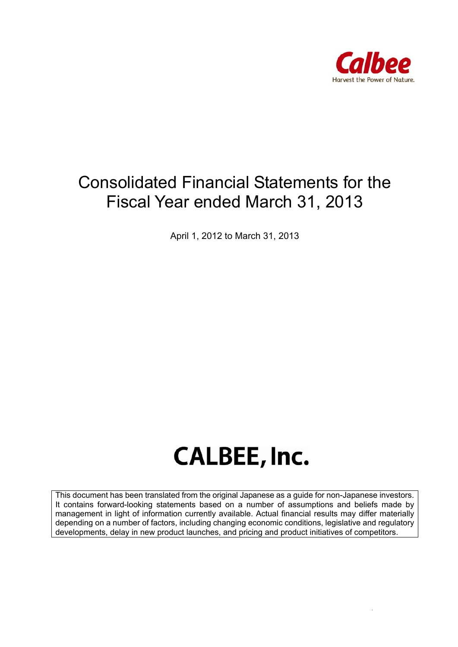

## Consolidated Financial Statements for the Fiscal Year ended March 31, 2013

April 1, 2012 to March 31, 2013

# **CALBEE, Inc.**

This document has been translated from the original Japanese as a guide for non-Japanese investors. It contains forward-looking statements based on a number of assumptions and beliefs made by management in light of information currently available. Actual financial results may differ materially depending on a number of factors, including changing economic conditions, legislative and regulatory developments, delay in new product launches, and pricing and product initiatives of competitors.

 *Page 1 of 41*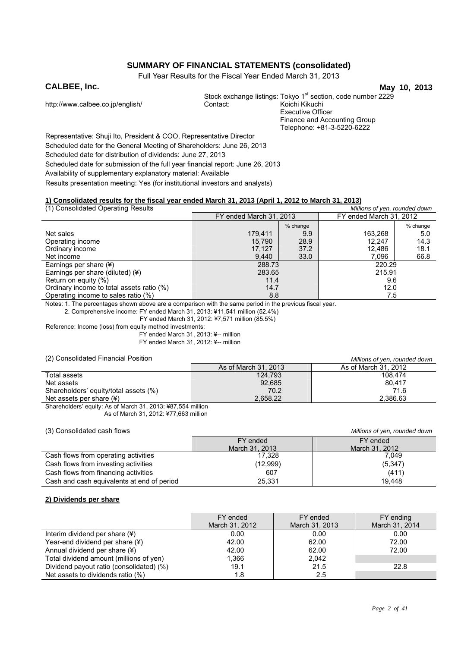## **SUMMARY OF FINANCIAL STATEMENTS (consolidated)**

Full Year Results for the Fiscal Year Ended March 31, 2013

**CALBEE, Inc.** May 10, 2013 Stock exchange listings: Tokyo 1<sup>st</sup> section, code number 2229<br>Contact: Koichi Kikuchi http://www.calbee.co.jp/english/ Executive Officer Finance and Accounting Group Telephone: +81-3-5220-6222

Representative: Shuji Ito, President & COO, Representative Director Scheduled date for the General Meeting of Shareholders: June 26, 2013 Scheduled date for distribution of dividends: June 27, 2013 Scheduled date for submission of the full year financial report: June 26, 2013 Availability of supplementary explanatory material: Available Results presentation meeting: Yes (for institutional investors and analysts)

#### **1) Consolidated results for the fiscal year ended March 31, 2013 (April 1, 2012 to March 31, 2013)**

| (1) Consolidated Operating Results        |                         |          | Millions of yen, rounded down |          |
|-------------------------------------------|-------------------------|----------|-------------------------------|----------|
|                                           | FY ended March 31, 2013 |          | FY ended March 31, 2012       |          |
|                                           |                         | % change |                               | % change |
| Net sales                                 | 179.411                 | 9.9      | 163,268                       | 5.0      |
| Operating income                          | 15.790                  | 28.9     | 12.247                        | 14.3     |
| Ordinary income                           | 17.127                  | 37.2     | 12.486                        | 18.1     |
| Net income                                | 9,440                   | 33.0     | 7.096                         | 66.8     |
| Earnings per share (¥)                    | 288.73                  |          | 220.29                        |          |
| Earnings per share (diluted) (¥)          | 283.65                  |          | 215.91                        |          |
| Return on equity (%)                      | 11.4                    |          | 9.6                           |          |
| Ordinary income to total assets ratio (%) | 14.7                    |          | 12.0                          |          |
| Operating income to sales ratio (%)       | 8.8                     |          | 7.5                           |          |

Notes: 1. The percentages shown above are a comparison with the same period in the previous fiscal year.

2. Comprehensive income: FY ended March 31, 2013: ¥11,541 million (52.4%)

FY ended March 31, 2012: ¥7,571 million (85.5%)

Reference: Income (loss) from equity method investments: FY ended March 31, 2013: ¥-- million

FY ended March 31, 2012: ¥-- million

#### (2) Consolidated Financial Position *Millions of yen, rounded down*

|                                       |                      | willions will controlled about |
|---------------------------------------|----------------------|--------------------------------|
|                                       | As of March 31, 2013 | As of March 31, 2012           |
| Total assets                          | 124.793              | 108.474                        |
| Net assets                            | 92,685               | 80.417                         |
| Shareholders' equity/total assets (%) | 70.2                 | 71.6                           |
| Net assets per share $(\frac{1}{2})$  | 2.658.22             | 2.386.63                       |
|                                       |                      |                                |

Shareholders' equity: As of March 31, 2013: ¥87,554 million As of March 31, 2012: ¥77,663 million

#### (3) Consolidated cash flows *Millions of yen, rounded down*

|                                            | FY ended       | FY ended       |
|--------------------------------------------|----------------|----------------|
|                                            | March 31, 2013 | March 31, 2012 |
| Cash flows from operating activities       | 17.328         | 7.049          |
| Cash flows from investing activities       | (12,999)       | (5,347)        |
| Cash flows from financing activities       | 607            | (411)          |
| Cash and cash equivalents at end of period | 25,331         | 19.448         |

#### **2) Dividends per share**

|                                          | FY ended<br>March 31, 2012 | FY ended<br>March 31, 2013 | FY ending<br>March 31, 2014 |
|------------------------------------------|----------------------------|----------------------------|-----------------------------|
| Interim dividend per share $(*)$         | 0.00                       | 0.00                       | 0.00                        |
| Year-end dividend per share (¥)          | 42.00                      | 62.00                      | 72.00                       |
| Annual dividend per share (¥)            | 42.00                      | 62.00                      | 72.00                       |
| Total dividend amount (millions of yen)  | 1.366                      | 2.042                      |                             |
| Dividend payout ratio (consolidated) (%) | 19.1                       | 21.5                       | 22.8                        |
| Net assets to dividends ratio (%)        | 1.8                        | 2.5                        |                             |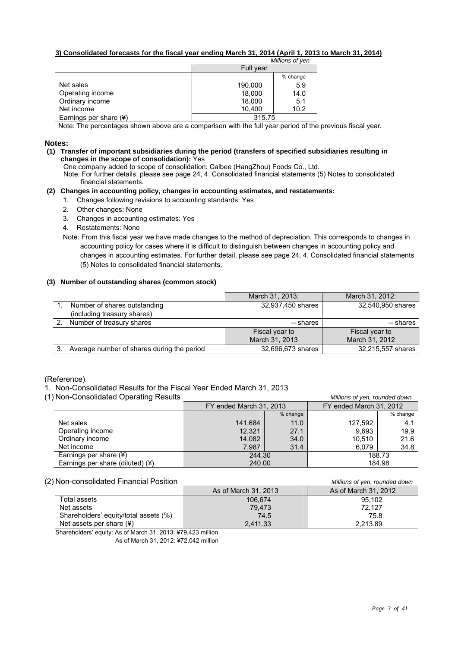#### **3) Consolidated forecasts for the fiscal year ending March 31, 2014 (April 1, 2013 to March 31, 2014)**

|                        |           | Millions of yen |
|------------------------|-----------|-----------------|
|                        | Full year |                 |
|                        |           | % change        |
| Net sales              | 190,000   | 5.9             |
| Operating income       | 18,000    | 14.0            |
| Ordinary income        | 18,000    | 5.1             |
| Net income             | 10.400    | 10.2            |
| Earnings per share (¥) | 315.75    |                 |

Note: The percentages shown above are a comparison with the full year period of the previous fiscal year.

#### **Notes:**

#### **(1) Transfer of important subsidiaries during the period (transfers of specified subsidiaries resulting in changes in the scope of consolidation):** Yes

One company added to scope of consolidation: Calbee (HangZhou) Foods Co., Ltd.

Note: For further details, please see page 24, 4. Consolidated financial statements (5) Notes to consolidated financial statements.

#### **(2) Changes in accounting policy, changes in accounting estimates, and restatements:**

- 1. Changes following revisions to accounting standards: Yes
- 2. Other changes: None
- 3. Changes in accounting estimates: Yes
- 4. Restatements: None
- Note: From this fiscal year we have made changes to the method of depreciation. This corresponds to changes in accounting policy for cases where it is difficult to distinguish between changes in accounting policy and changes in accounting estimates. For further detail, please see page 24, 4. Consolidated financial statements (5) Notes to consolidated financial statements.

#### **(3) Number of outstanding shares (common stock)**

|                                            | March 31, 2013:   | March 31, 2012:   |
|--------------------------------------------|-------------------|-------------------|
| Number of shares outstanding               | 32,937,450 shares | 32,540,950 shares |
| (including treasury shares)                |                   |                   |
| Number of treasury shares                  | -- shares         | -- shares         |
|                                            | Fiscal year to    | Fiscal year to    |
|                                            | March 31, 2013    | March 31, 2012    |
| Average number of shares during the period | 32.696.673 shares | 32,215,557 shares |

(Reference)

- 1. Non-Consolidated Results for the Fiscal Year Ended March 31, 2013
- (1) Non-Consolidated Operating Results *Millions of yen, rounded down*

| i i i iuli-consolidated Operating i tesuits  |                         |            | <u>MINUTS OF YELL FOULIGED GOWN</u> |          |
|----------------------------------------------|-------------------------|------------|-------------------------------------|----------|
|                                              | FY ended March 31, 2013 |            | FY ended March 31, 2012             |          |
|                                              |                         | $%$ change |                                     | % change |
| Net sales                                    | 141.684                 | 11.0       | 127.592                             | 4.1      |
| Operating income                             | 12.321                  | 27.1       | 9.693                               | 19.9     |
| Ordinary income                              | 14,082                  | 34.0       | 10.510                              | 21.6     |
| Net income                                   | 7.987                   | 31.4       | 6.079                               | 34.8     |
| Earnings per share $(*)$                     | 244.30                  |            |                                     | 188.73   |
| Earnings per share (diluted) $(\frac{4}{3})$ | 240.00                  |            |                                     | 184.98   |

(2) Non-consolidated Financial Position *Millions of yen, rounded down*

|                                       | As of March 31, 2013 | As of March 31, 2012 |
|---------------------------------------|----------------------|----------------------|
| Total assets                          | 106.674              | 95.102               |
| Net assets                            | 79.473               | 72.127               |
| Shareholders' equity/total assets (%) | 74.5                 | 75.8                 |
| Net assets per share $(*)$            | 2.411.33             | 2.213.89             |

Shareholders' equity: As of March 31, 2013: ¥79,423 million

As of March 31, 2012: ¥72,042 million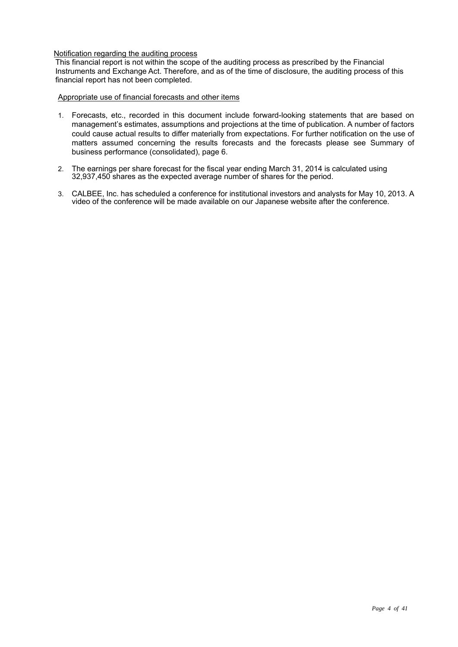#### Notification regarding the auditing process

This financial report is not within the scope of the auditing process as prescribed by the Financial Instruments and Exchange Act. Therefore, and as of the time of disclosure, the auditing process of this financial report has not been completed.

#### Appropriate use of financial forecasts and other items

- 1. Forecasts, etc., recorded in this document include forward-looking statements that are based on management's estimates, assumptions and projections at the time of publication. A number of factors could cause actual results to differ materially from expectations. For further notification on the use of matters assumed concerning the results forecasts and the forecasts please see Summary of business performance (consolidated), page 6.
- 2. The earnings per share forecast for the fiscal year ending March 31, 2014 is calculated using 32,937,450 shares as the expected average number of shares for the period.
- 3. CALBEE, Inc. has scheduled a conference for institutional investors and analysts for May 10, 2013. A video of the conference will be made available on our Japanese website after the conference.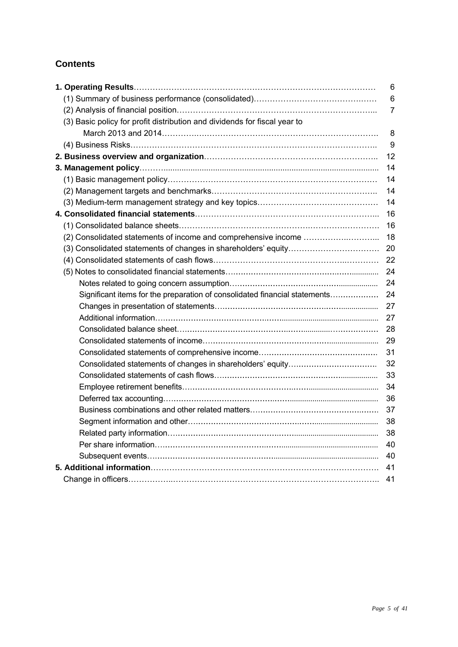## **Contents**

|                                                                            | 6              |
|----------------------------------------------------------------------------|----------------|
|                                                                            | 6              |
|                                                                            | $\overline{7}$ |
| (3) Basic policy for profit distribution and dividends for fiscal year to  |                |
|                                                                            | 8              |
|                                                                            | 9              |
|                                                                            | 12             |
|                                                                            | 14             |
|                                                                            | 14             |
|                                                                            | 14             |
|                                                                            | 14             |
|                                                                            | 16             |
|                                                                            | 16             |
|                                                                            | 18             |
|                                                                            | 20             |
|                                                                            | 22             |
|                                                                            | 24             |
|                                                                            | 24             |
| Significant items for the preparation of consolidated financial statements | 24             |
|                                                                            | 27             |
|                                                                            | 27             |
|                                                                            | 28             |
|                                                                            | 29             |
|                                                                            | 31             |
|                                                                            | 32             |
|                                                                            | 33             |
|                                                                            | 34             |
|                                                                            | 36             |
|                                                                            | 37             |
|                                                                            | 38             |
|                                                                            | 38             |
|                                                                            | 40             |
|                                                                            | 40             |
|                                                                            | 41             |
|                                                                            | 41             |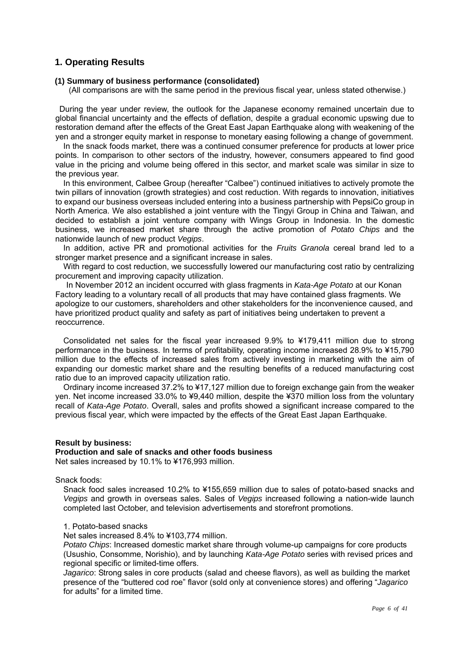## **1. Operating Results**

#### **(1) Summary of business performance (consolidated)**

(All comparisons are with the same period in the previous fiscal year, unless stated otherwise.)

During the year under review, the outlook for the Japanese economy remained uncertain due to global financial uncertainty and the effects of deflation, despite a gradual economic upswing due to restoration demand after the effects of the Great East Japan Earthquake along with weakening of the yen and a stronger equity market in response to monetary easing following a change of government.

In the snack foods market, there was a continued consumer preference for products at lower price points. In comparison to other sectors of the industry, however, consumers appeared to find good value in the pricing and volume being offered in this sector, and market scale was similar in size to the previous year.

In this environment, Calbee Group (hereafter "Calbee") continued initiatives to actively promote the twin pillars of innovation (growth strategies) and cost reduction. With regards to innovation, initiatives to expand our business overseas included entering into a business partnership with PepsiCo group in North America. We also established a joint venture with the Tingyi Group in China and Taiwan, and decided to establish a joint venture company with Wings Group in Indonesia. In the domestic business, we increased market share through the active promotion of *Potato Chips* and the nationwide launch of new product *Vegips*.

In addition, active PR and promotional activities for the *Fruits Granola* cereal brand led to a stronger market presence and a significant increase in sales.

With regard to cost reduction, we successfully lowered our manufacturing cost ratio by centralizing procurement and improving capacity utilization.

In November 2012 an incident occurred with glass fragments in *Kata-Age Potato* at our Konan Factory leading to a voluntary recall of all products that may have contained glass fragments. We apologize to our customers, shareholders and other stakeholders for the inconvenience caused, and have prioritized product quality and safety as part of initiatives being undertaken to prevent a reoccurrence.

Consolidated net sales for the fiscal year increased 9.9% to ¥179,411 million due to strong performance in the business. In terms of profitability, operating income increased 28.9% to ¥15,790 million due to the effects of increased sales from actively investing in marketing with the aim of expanding our domestic market share and the resulting benefits of a reduced manufacturing cost ratio due to an improved capacity utilization ratio.

Ordinary income increased 37.2% to ¥17,127 million due to foreign exchange gain from the weaker yen. Net income increased 33.0% to ¥9,440 million, despite the ¥370 million loss from the voluntary recall of *Kata-Age Potato*. Overall, sales and profits showed a significant increase compared to the previous fiscal year, which were impacted by the effects of the Great East Japan Earthquake.

#### **Result by business:**

#### **Production and sale of snacks and other foods business**

Net sales increased by 10.1% to ¥176,993 million.

#### Snack foods:

Snack food sales increased 10.2% to ¥155,659 million due to sales of potato-based snacks and *Vegips* and growth in overseas sales. Sales of *Vegips* increased following a nation-wide launch completed last October, and television advertisements and storefront promotions.

#### 1. Potato-based snacks

Net sales increased 8.4% to ¥103,774 million.

*Potato Chips*: Increased domestic market share through volume-up campaigns for core products (Usushio, Consomme, Norishio), and by launching *Kata-Age Potato* series with revised prices and regional specific or limited-time offers.

*Jagarico*: Strong sales in core products (salad and cheese flavors), as well as building the market presence of the "buttered cod roe" flavor (sold only at convenience stores) and offering "*Jagarico* for adults" for a limited time.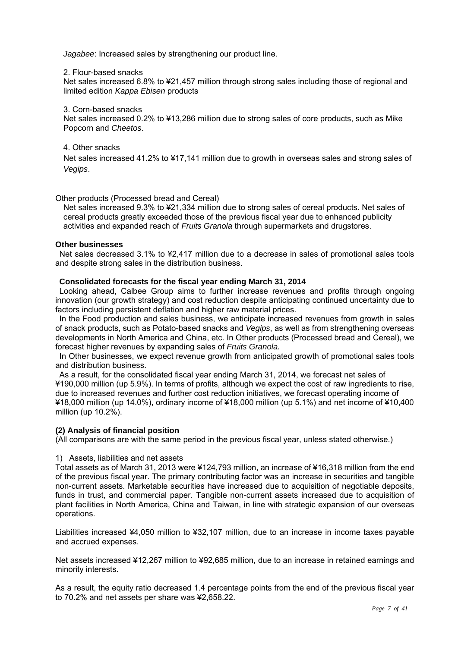*Jagabee*: Increased sales by strengthening our product line.

#### 2. Flour-based snacks

Net sales increased 6.8% to ¥21,457 million through strong sales including those of regional and limited edition *Kappa Ebisen* products

#### 3. Corn-based snacks

Net sales increased 0.2% to ¥13,286 million due to strong sales of core products, such as Mike Popcorn and *Cheetos*.

## 4. Other snacks

Net sales increased 41.2% to ¥17,141 million due to growth in overseas sales and strong sales of *Vegips*.

#### Other products (Processed bread and Cereal)

Net sales increased 9.3% to ¥21,334 million due to strong sales of cereal products. Net sales of cereal products greatly exceeded those of the previous fiscal year due to enhanced publicity activities and expanded reach of *Fruits Granola* through supermarkets and drugstores.

#### **Other businesses**

Net sales decreased 3.1% to ¥2,417 million due to a decrease in sales of promotional sales tools and despite strong sales in the distribution business.

#### **Consolidated forecasts for the fiscal year ending March 31, 2014**

Looking ahead, Calbee Group aims to further increase revenues and profits through ongoing innovation (our growth strategy) and cost reduction despite anticipating continued uncertainty due to factors including persistent deflation and higher raw material prices.

In the Food production and sales business, we anticipate increased revenues from growth in sales of snack products, such as Potato-based snacks and *Vegips*, as well as from strengthening overseas developments in North America and China, etc. In Other products (Processed bread and Cereal), we forecast higher revenues by expanding sales of *Fruits Granola.* 

In Other businesses, we expect revenue growth from anticipated growth of promotional sales tools and distribution business.

As a result, for the consolidated fiscal year ending March 31, 2014, we forecast net sales of ¥190,000 million (up 5.9%). In terms of profits, although we expect the cost of raw ingredients to rise, due to increased revenues and further cost reduction initiatives, we forecast operating income of ¥18,000 million (up 14.0%), ordinary income of ¥18,000 million (up 5.1%) and net income of ¥10,400 million (up 10.2%).

## **(2) Analysis of financial position**

(All comparisons are with the same period in the previous fiscal year, unless stated otherwise.)

## 1) Assets, liabilities and net assets

Total assets as of March 31, 2013 were ¥124,793 million, an increase of ¥16,318 million from the end of the previous fiscal year. The primary contributing factor was an increase in securities and tangible non-current assets. Marketable securities have increased due to acquisition of negotiable deposits, funds in trust, and commercial paper. Tangible non-current assets increased due to acquisition of plant facilities in North America, China and Taiwan, in line with strategic expansion of our overseas operations.

Liabilities increased ¥4,050 million to ¥32,107 million, due to an increase in income taxes payable and accrued expenses.

Net assets increased ¥12,267 million to ¥92,685 million, due to an increase in retained earnings and minority interests.

As a result, the equity ratio decreased 1.4 percentage points from the end of the previous fiscal year to 70.2% and net assets per share was ¥2,658.22.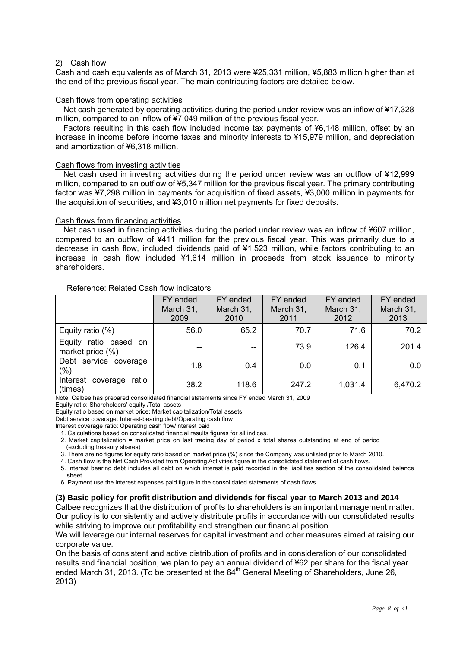#### 2) Cash flow

Cash and cash equivalents as of March 31, 2013 were ¥25,331 million, ¥5,883 million higher than at the end of the previous fiscal year. The main contributing factors are detailed below.

#### Cash flows from operating activities

Net cash generated by operating activities during the period under review was an inflow of ¥17,328 million, compared to an inflow of ¥7,049 million of the previous fiscal year.

Factors resulting in this cash flow included income tax payments of ¥6,148 million, offset by an increase in income before income taxes and minority interests to ¥15,979 million, and depreciation and amortization of ¥6,318 million.

#### Cash flows from investing activities

Net cash used in investing activities during the period under review was an outflow of ¥12,999 million, compared to an outflow of ¥5,347 million for the previous fiscal year. The primary contributing factor was ¥7,298 million in payments for acquisition of fixed assets, ¥3,000 million in payments for the acquisition of securities, and ¥3,010 million net payments for fixed deposits.

#### Cash flows from financing activities

Net cash used in financing activities during the period under review was an inflow of ¥607 million, compared to an outflow of ¥411 million for the previous fiscal year. This was primarily due to a decrease in cash flow, included dividends paid of ¥1,523 million, while factors contributing to an increase in cash flow included ¥1,614 million in proceeds from stock issuance to minority shareholders.

#### Reference: Related Cash flow indicators

|                                                  | FY ended<br>March 31,<br>2009 | FY ended<br>March 31,<br>2010 | FY ended<br>March 31,<br>2011 | FY ended<br>March 31,<br>2012 | FY ended<br>March 31,<br>2013 |
|--------------------------------------------------|-------------------------------|-------------------------------|-------------------------------|-------------------------------|-------------------------------|
| Equity ratio $(\%)$                              | 56.0                          | 65.2                          | 70.7                          | 71.6                          | 70.2                          |
| ratio based<br>Equity<br>on.<br>market price (%) | $-$                           | --                            | 73.9                          | 126.4                         | 201.4                         |
| Debt service coverage<br>(%)                     | 1.8                           | 0.4                           | 0.0                           | 0.1                           | 0.0                           |
| ratio<br>Interest<br>coverage<br>(times)         | 38.2                          | 118.6                         | 247.2                         | 1,031.4                       | 6,470.2                       |

Note: Calbee has prepared consolidated financial statements since FY ended March 31, 2009

Equity ratio: Shareholders' equity /Total assets

Equity ratio based on market price: Market capitalization/Total assets

Debt service coverage: Interest-bearing debt/Operating cash flow

Interest coverage ratio: Operating cash flow/Interest paid

1. Calculations based on consolidated financial results figures for all indices.

2. Market capitalization = market price on last trading day of period x total shares outstanding at end of period (excluding treasury shares)

3. There are no figures for equity ratio based on market price (%) since the Company was unlisted prior to March 2010.

4. Cash flow is the Net Cash Provided from Operating Activities figure in the consolidated statement of cash flows.

5. Interest bearing debt includes all debt on which interest is paid recorded in the liabilities section of the consolidated balance sheet.

6. Payment use the interest expenses paid figure in the consolidated statements of cash flows.

#### **(3) Basic policy for profit distribution and dividends for fiscal year to March 2013 and 2014**

Calbee recognizes that the distribution of profits to shareholders is an important management matter. Our policy is to consistently and actively distribute profits in accordance with our consolidated results while striving to improve our profitability and strengthen our financial position.

We will leverage our internal reserves for capital investment and other measures aimed at raising our corporate value.

On the basis of consistent and active distribution of profits and in consideration of our consolidated results and financial position, we plan to pay an annual dividend of ¥62 per share for the fiscal year ended March 31, 2013. (To be presented at the  $64<sup>th</sup>$  General Meeting of Shareholders, June 26, 2013)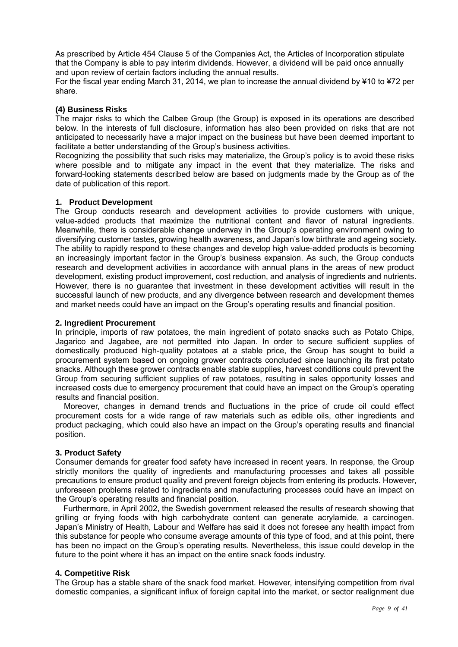As prescribed by Article 454 Clause 5 of the Companies Act, the Articles of Incorporation stipulate that the Company is able to pay interim dividends. However, a dividend will be paid once annually and upon review of certain factors including the annual results.

For the fiscal year ending March 31, 2014, we plan to increase the annual dividend by ¥10 to ¥72 per share.

## **(4) Business Risks**

The major risks to which the Calbee Group (the Group) is exposed in its operations are described below. In the interests of full disclosure, information has also been provided on risks that are not anticipated to necessarily have a major impact on the business but have been deemed important to facilitate a better understanding of the Group's business activities.

Recognizing the possibility that such risks may materialize, the Group's policy is to avoid these risks where possible and to mitigate any impact in the event that they materialize. The risks and forward-looking statements described below are based on judgments made by the Group as of the date of publication of this report.

## **1. Product Development**

The Group conducts research and development activities to provide customers with unique, value-added products that maximize the nutritional content and flavor of natural ingredients. Meanwhile, there is considerable change underway in the Group's operating environment owing to diversifying customer tastes, growing health awareness, and Japan's low birthrate and ageing society. The ability to rapidly respond to these changes and develop high value-added products is becoming an increasingly important factor in the Group's business expansion. As such, the Group conducts research and development activities in accordance with annual plans in the areas of new product development, existing product improvement, cost reduction, and analysis of ingredients and nutrients. However, there is no guarantee that investment in these development activities will result in the successful launch of new products, and any divergence between research and development themes and market needs could have an impact on the Group's operating results and financial position.

#### **2. Ingredient Procurement**

In principle, imports of raw potatoes, the main ingredient of potato snacks such as Potato Chips, Jagarico and Jagabee, are not permitted into Japan. In order to secure sufficient supplies of domestically produced high-quality potatoes at a stable price, the Group has sought to build a procurement system based on ongoing grower contracts concluded since launching its first potato snacks. Although these grower contracts enable stable supplies, harvest conditions could prevent the Group from securing sufficient supplies of raw potatoes, resulting in sales opportunity losses and increased costs due to emergency procurement that could have an impact on the Group's operating results and financial position.

Moreover, changes in demand trends and fluctuations in the price of crude oil could effect procurement costs for a wide range of raw materials such as edible oils, other ingredients and product packaging, which could also have an impact on the Group's operating results and financial position.

## **3. Product Safety**

Consumer demands for greater food safety have increased in recent years. In response, the Group strictly monitors the quality of ingredients and manufacturing processes and takes all possible precautions to ensure product quality and prevent foreign objects from entering its products. However, unforeseen problems related to ingredients and manufacturing processes could have an impact on the Group's operating results and financial position.

Furthermore, in April 2002, the Swedish government released the results of research showing that grilling or frying foods with high carbohydrate content can generate acrylamide, a carcinogen. Japan's Ministry of Health, Labour and Welfare has said it does not foresee any health impact from this substance for people who consume average amounts of this type of food, and at this point, there has been no impact on the Group's operating results. Nevertheless, this issue could develop in the future to the point where it has an impact on the entire snack foods industry.

## **4. Competitive Risk**

The Group has a stable share of the snack food market. However, intensifying competition from rival domestic companies, a significant influx of foreign capital into the market, or sector realignment due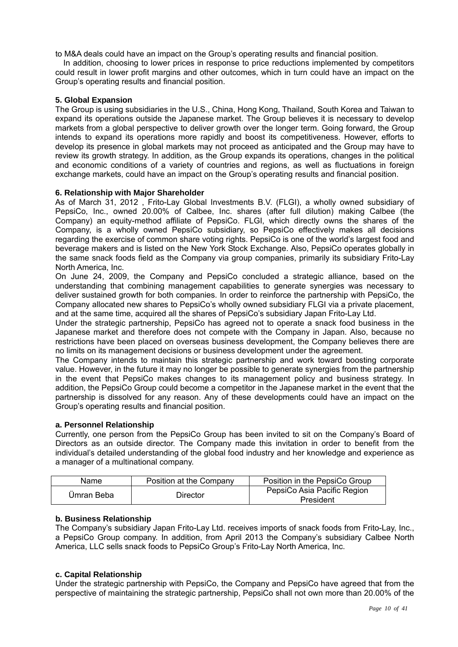to M&A deals could have an impact on the Group's operating results and financial position.

In addition, choosing to lower prices in response to price reductions implemented by competitors could result in lower profit margins and other outcomes, which in turn could have an impact on the Group's operating results and financial position.

## **5. Global Expansion**

The Group is using subsidiaries in the U.S., China, Hong Kong, Thailand, South Korea and Taiwan to expand its operations outside the Japanese market. The Group believes it is necessary to develop markets from a global perspective to deliver growth over the longer term. Going forward, the Group intends to expand its operations more rapidly and boost its competitiveness. However, efforts to develop its presence in global markets may not proceed as anticipated and the Group may have to review its growth strategy. In addition, as the Group expands its operations, changes in the political and economic conditions of a variety of countries and regions, as well as fluctuations in foreign exchange markets, could have an impact on the Group's operating results and financial position.

## **6. Relationship with Major Shareholder**

As of March 31, 2012 , Frito-Lay Global Investments B.V. (FLGI), a wholly owned subsidiary of PepsiCo, Inc., owned 20.00% of Calbee, Inc. shares (after full dilution) making Calbee (the Company) an equity-method affiliate of PepsiCo. FLGI, which directly owns the shares of the Company, is a wholly owned PepsiCo subsidiary, so PepsiCo effectively makes all decisions regarding the exercise of common share voting rights. PepsiCo is one of the world's largest food and beverage makers and is listed on the New York Stock Exchange. Also, PepsiCo operates globally in the same snack foods field as the Company via group companies, primarily its subsidiary Frito-Lay North America, Inc.

On June 24, 2009, the Company and PepsiCo concluded a strategic alliance, based on the understanding that combining management capabilities to generate synergies was necessary to deliver sustained growth for both companies. In order to reinforce the partnership with PepsiCo, the Company allocated new shares to PepsiCo's wholly owned subsidiary FLGI via a private placement, and at the same time, acquired all the shares of PepsiCo's subsidiary Japan Frito-Lay Ltd.

Under the strategic partnership, PepsiCo has agreed not to operate a snack food business in the Japanese market and therefore does not compete with the Company in Japan. Also, because no restrictions have been placed on overseas business development, the Company believes there are no limits on its management decisions or business development under the agreement.

The Company intends to maintain this strategic partnership and work toward boosting corporate value. However, in the future it may no longer be possible to generate synergies from the partnership in the event that PepsiCo makes changes to its management policy and business strategy. In addition, the PepsiCo Group could become a competitor in the Japanese market in the event that the partnership is dissolved for any reason. Any of these developments could have an impact on the Group's operating results and financial position.

## **a. Personnel Relationship**

Currently, one person from the PepsiCo Group has been invited to sit on the Company's Board of Directors as an outside director. The Company made this invitation in order to benefit from the individual's detailed understanding of the global food industry and her knowledge and experience as a manager of a multinational company.

| Name       | Position at the Company | Position in the PepsiCo Group            |
|------------|-------------------------|------------------------------------------|
| Ümran Beba | Director                | PepsiCo Asia Pacific Region<br>President |

## **b. Business Relationship**

The Company's subsidiary Japan Frito-Lay Ltd. receives imports of snack foods from Frito-Lay, Inc., a PepsiCo Group company. In addition, from April 2013 the Company's subsidiary Calbee North America, LLC sells snack foods to PepsiCo Group's Frito-Lay North America, Inc.

## **c. Capital Relationship**

Under the strategic partnership with PepsiCo, the Company and PepsiCo have agreed that from the perspective of maintaining the strategic partnership, PepsiCo shall not own more than 20.00% of the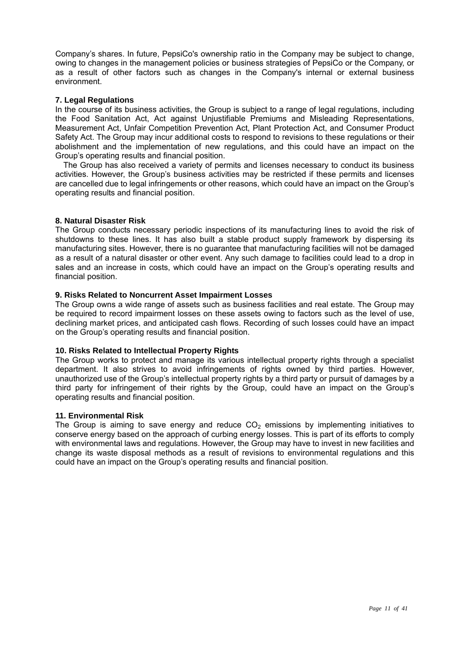Company's shares. In future, PepsiCo's ownership ratio in the Company may be subject to change, owing to changes in the management policies or business strategies of PepsiCo or the Company, or as a result of other factors such as changes in the Company's internal or external business environment.

#### **7. Legal Regulations**

In the course of its business activities, the Group is subject to a range of legal regulations, including the Food Sanitation Act, Act against Unjustifiable Premiums and Misleading Representations, Measurement Act, Unfair Competition Prevention Act, Plant Protection Act, and Consumer Product Safety Act. The Group may incur additional costs to respond to revisions to these regulations or their abolishment and the implementation of new regulations, and this could have an impact on the Group's operating results and financial position.

The Group has also received a variety of permits and licenses necessary to conduct its business activities. However, the Group's business activities may be restricted if these permits and licenses are cancelled due to legal infringements or other reasons, which could have an impact on the Group's operating results and financial position.

## **8. Natural Disaster Risk**

The Group conducts necessary periodic inspections of its manufacturing lines to avoid the risk of shutdowns to these lines. It has also built a stable product supply framework by dispersing its manufacturing sites. However, there is no guarantee that manufacturing facilities will not be damaged as a result of a natural disaster or other event. Any such damage to facilities could lead to a drop in sales and an increase in costs, which could have an impact on the Group's operating results and financial position.

#### **9. Risks Related to Noncurrent Asset Impairment Losses**

The Group owns a wide range of assets such as business facilities and real estate. The Group may be required to record impairment losses on these assets owing to factors such as the level of use, declining market prices, and anticipated cash flows. Recording of such losses could have an impact on the Group's operating results and financial position.

## **10. Risks Related to Intellectual Property Rights**

The Group works to protect and manage its various intellectual property rights through a specialist department. It also strives to avoid infringements of rights owned by third parties. However, unauthorized use of the Group's intellectual property rights by a third party or pursuit of damages by a third party for infringement of their rights by the Group, could have an impact on the Group's operating results and financial position.

#### **11. Environmental Risk**

The Group is aiming to save energy and reduce  $CO<sub>2</sub>$  emissions by implementing initiatives to conserve energy based on the approach of curbing energy losses. This is part of its efforts to comply with environmental laws and regulations. However, the Group may have to invest in new facilities and change its waste disposal methods as a result of revisions to environmental regulations and this could have an impact on the Group's operating results and financial position.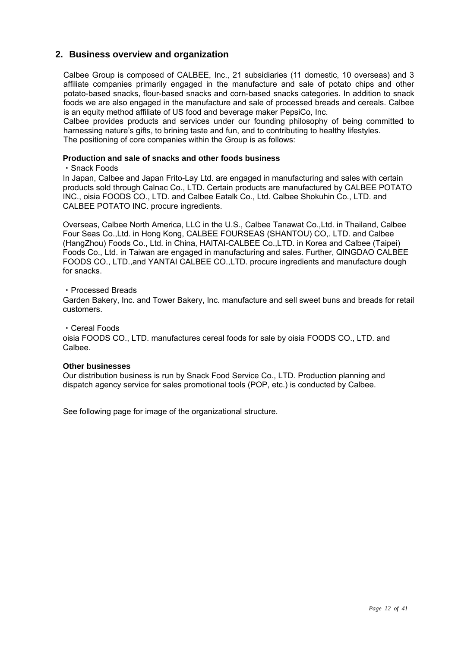## **2. Business overview and organization**

Calbee Group is composed of CALBEE, Inc., 21 subsidiaries (11 domestic, 10 overseas) and 3 affiliate companies primarily engaged in the manufacture and sale of potato chips and other potato-based snacks, flour-based snacks and corn-based snacks categories. In addition to snack foods we are also engaged in the manufacture and sale of processed breads and cereals. Calbee is an equity method affiliate of US food and beverage maker PepsiCo, Inc.

Calbee provides products and services under our founding philosophy of being committed to harnessing nature's gifts, to brining taste and fun, and to contributing to healthy lifestyles. The positioning of core companies within the Group is as follows:

#### **Production and sale of snacks and other foods business**

#### ・Snack Foods

In Japan, Calbee and Japan Frito-Lay Ltd. are engaged in manufacturing and sales with certain products sold through Calnac Co., LTD. Certain products are manufactured by CALBEE POTATO INC., oisia FOODS CO., LTD. and Calbee Eatalk Co., Ltd. Calbee Shokuhin Co., LTD. and CALBEE POTATO INC. procure ingredients.

Overseas, Calbee North America, LLC in the U.S., Calbee Tanawat Co.,Ltd. in Thailand, Calbee Four Seas Co.,Ltd. in Hong Kong, CALBEE FOURSEAS (SHANTOU) CO,. LTD. and Calbee (HangZhou) Foods Co., Ltd. in China, HAITAI-CALBEE Co.,LTD. in Korea and Calbee (Taipei) Foods Co., Ltd. in Taiwan are engaged in manufacturing and sales. Further, QINGDAO CALBEE FOODS CO., LTD.,and YANTAI CALBEE CO.,LTD. procure ingredients and manufacture dough for snacks.

#### ・Processed Breads

Garden Bakery, Inc. and Tower Bakery, Inc. manufacture and sell sweet buns and breads for retail customers.

・Cereal Foods

oisia FOODS CO., LTD. manufactures cereal foods for sale by oisia FOODS CO., LTD. and Calbee.

## **Other businesses**

Our distribution business is run by Snack Food Service Co., LTD. Production planning and dispatch agency service for sales promotional tools (POP, etc.) is conducted by Calbee.

See following page for image of the organizational structure.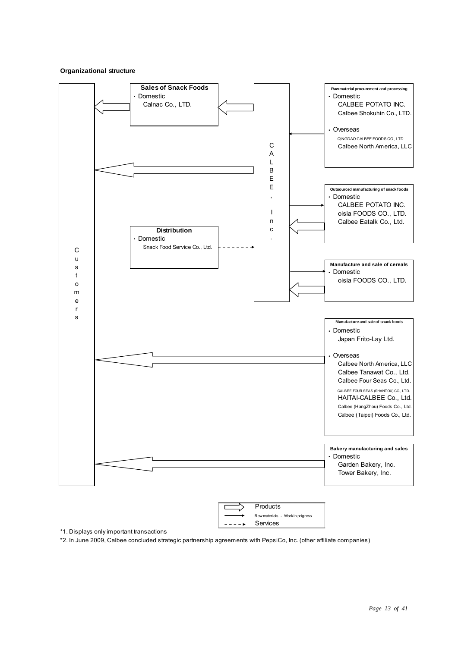#### **Organizational structure**



\*1. Displays only important transactions

\*2. In June 2009, Calbee concluded strategic partnership agreements with PepsiCo, Inc. (other affiliate companies)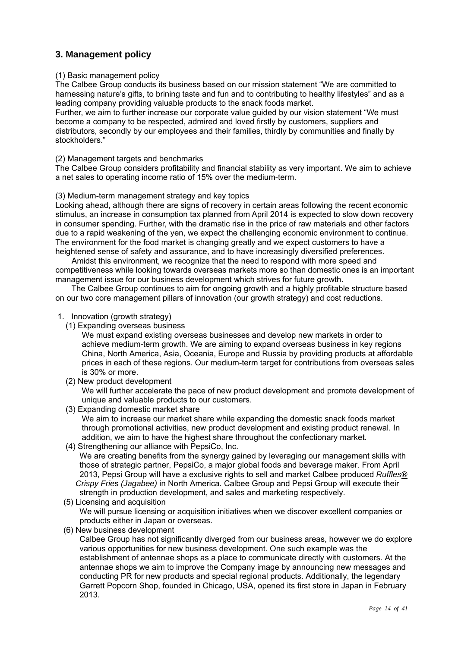## **3. Management policy**

#### (1) Basic management policy

The Calbee Group conducts its business based on our mission statement "We are committed to harnessing nature's gifts, to brining taste and fun and to contributing to healthy lifestyles" and as a leading company providing valuable products to the snack foods market.

Further, we aim to further increase our corporate value guided by our vision statement "We must become a company to be respected, admired and loved firstly by customers, suppliers and distributors, secondly by our employees and their families, thirdly by communities and finally by stockholders."

## (2) Management targets and benchmarks

The Calbee Group considers profitability and financial stability as very important. We aim to achieve a net sales to operating income ratio of 15% over the medium-term.

#### (3) Medium-term management strategy and key topics

Looking ahead, although there are signs of recovery in certain areas following the recent economic stimulus, an increase in consumption tax planned from April 2014 is expected to slow down recovery in consumer spending. Further, with the dramatic rise in the price of raw materials and other factors due to a rapid weakening of the yen, we expect the challenging economic environment to continue. The environment for the food market is changing greatly and we expect customers to have a heightened sense of safety and assurance, and to have increasingly diversified preferences.

 Amidst this environment, we recognize that the need to respond with more speed and competitiveness while looking towards overseas markets more so than domestic ones is an important management issue for our business development which strives for future growth.

The Calbee Group continues to aim for ongoing growth and a highly profitable structure based on our two core management pillars of innovation (our growth strategy) and cost reductions.

#### 1. Innovation (growth strategy)

(1) Expanding overseas business

We must expand existing overseas businesses and develop new markets in order to achieve medium-term growth. We are aiming to expand overseas business in key regions China, North America, Asia, Oceania, Europe and Russia by providing products at affordable prices in each of these regions. Our medium-term target for contributions from overseas sales is 30% or more.

(2) New product development

We will further accelerate the pace of new product development and promote development of unique and valuable products to our customers.

(3) Expanding domestic market share

We aim to increase our market share while expanding the domestic snack foods market through promotional activities, new product development and existing product renewal. In addition, we aim to have the highest share throughout the confectionary market.

(4) Strengthening our alliance with PepsiCo, Inc.

We are creating benefits from the synergy gained by leveraging our management skills with those of strategic partner, PepsiCo, a major global foods and beverage maker. From April 2013, Pepsi Group will have a exclusive rights to sell and market Calbee produced *Ruffles® Crispy Frie*s *(Jagabee)* in North America. Calbee Group and Pepsi Group will execute their strength in production development, and sales and marketing respectively.

(5) Licensing and acquisition

 We will pursue licensing or acquisition initiatives when we discover excellent companies or products either in Japan or overseas.

(6) New business development

 Calbee Group has not significantly diverged from our business areas, however we do explore various opportunities for new business development. One such example was the establishment of antennae shops as a place to communicate directly with customers. At the antennae shops we aim to improve the Company image by announcing new messages and conducting PR for new products and special regional products. Additionally, the legendary Garrett Popcorn Shop, founded in Chicago, USA, opened its first store in Japan in February 2013.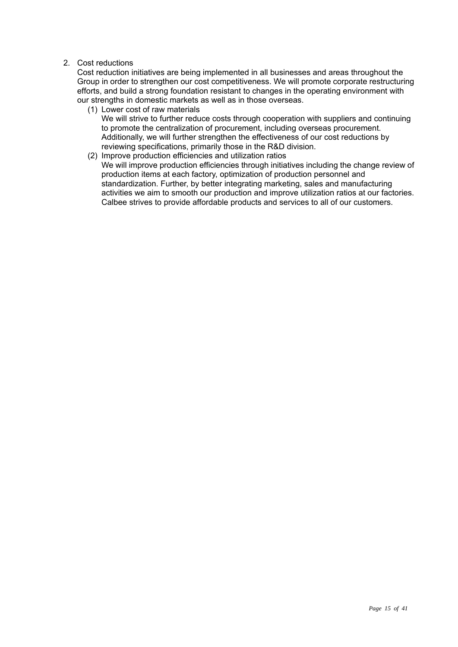## 2. Cost reductions

Cost reduction initiatives are being implemented in all businesses and areas throughout the Group in order to strengthen our cost competitiveness. We will promote corporate restructuring efforts, and build a strong foundation resistant to changes in the operating environment with our strengths in domestic markets as well as in those overseas.

(1) Lower cost of raw materials

We will strive to further reduce costs through cooperation with suppliers and continuing to promote the centralization of procurement, including overseas procurement. Additionally, we will further strengthen the effectiveness of our cost reductions by reviewing specifications, primarily those in the R&D division.

(2) Improve production efficiencies and utilization ratios We will improve production efficiencies through initiatives including the change review of production items at each factory, optimization of production personnel and standardization. Further, by better integrating marketing, sales and manufacturing activities we aim to smooth our production and improve utilization ratios at our factories. Calbee strives to provide affordable products and services to all of our customers.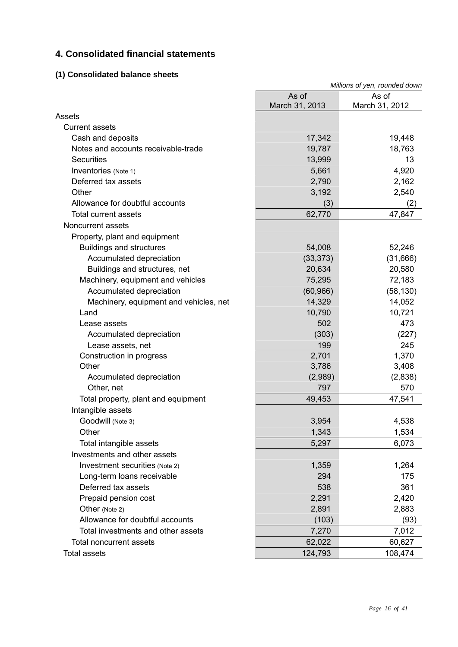## **4. Consolidated financial statements**

## **(1) Consolidated balance sheets**

| As of<br>As of<br>March 31, 2013<br>March 31, 2012<br>Assets<br><b>Current assets</b><br>19,448<br>Cash and deposits<br>17,342<br>Notes and accounts receivable-trade<br>19,787<br>18,763<br>13,999<br>13<br><b>Securities</b><br>5,661<br>4,920<br>Inventories (Note 1)<br>Deferred tax assets<br>2,790<br>2,162<br>Other<br>3,192<br>2,540 |
|----------------------------------------------------------------------------------------------------------------------------------------------------------------------------------------------------------------------------------------------------------------------------------------------------------------------------------------------|
|                                                                                                                                                                                                                                                                                                                                              |
|                                                                                                                                                                                                                                                                                                                                              |
|                                                                                                                                                                                                                                                                                                                                              |
|                                                                                                                                                                                                                                                                                                                                              |
|                                                                                                                                                                                                                                                                                                                                              |
|                                                                                                                                                                                                                                                                                                                                              |
|                                                                                                                                                                                                                                                                                                                                              |
|                                                                                                                                                                                                                                                                                                                                              |
|                                                                                                                                                                                                                                                                                                                                              |
| Allowance for doubtful accounts<br>(3)<br>(2)                                                                                                                                                                                                                                                                                                |
| 62,770<br>47,847<br><b>Total current assets</b>                                                                                                                                                                                                                                                                                              |
| Noncurrent assets                                                                                                                                                                                                                                                                                                                            |
| Property, plant and equipment                                                                                                                                                                                                                                                                                                                |
| <b>Buildings and structures</b><br>54,008<br>52,246                                                                                                                                                                                                                                                                                          |
| Accumulated depreciation<br>(33, 373)<br>(31,666)                                                                                                                                                                                                                                                                                            |
| Buildings and structures, net<br>20,634<br>20,580                                                                                                                                                                                                                                                                                            |
| Machinery, equipment and vehicles<br>75,295<br>72,183                                                                                                                                                                                                                                                                                        |
| Accumulated depreciation<br>(60, 966)<br>(58, 130)                                                                                                                                                                                                                                                                                           |
| Machinery, equipment and vehicles, net<br>14,329<br>14,052                                                                                                                                                                                                                                                                                   |
| 10,790<br>10,721<br>Land                                                                                                                                                                                                                                                                                                                     |
| 502<br>473<br>Lease assets                                                                                                                                                                                                                                                                                                                   |
| (303)<br>(227)<br>Accumulated depreciation                                                                                                                                                                                                                                                                                                   |
| 199<br>245<br>Lease assets, net                                                                                                                                                                                                                                                                                                              |
| 1,370<br>2,701<br>Construction in progress                                                                                                                                                                                                                                                                                                   |
| Other<br>3,786<br>3,408                                                                                                                                                                                                                                                                                                                      |
| (2,989)<br>(2,838)<br>Accumulated depreciation                                                                                                                                                                                                                                                                                               |
| Other, net<br>797<br>570                                                                                                                                                                                                                                                                                                                     |
| 47,541<br>49,453<br>Total property, plant and equipment                                                                                                                                                                                                                                                                                      |
| Intangible assets                                                                                                                                                                                                                                                                                                                            |
| 3,954<br>4,538<br>Goodwill (Note 3)                                                                                                                                                                                                                                                                                                          |
| 1,343<br>1,534<br>Other                                                                                                                                                                                                                                                                                                                      |
| Total intangible assets<br>5,297<br>6,073                                                                                                                                                                                                                                                                                                    |
| Investments and other assets                                                                                                                                                                                                                                                                                                                 |
| 1,264<br>Investment securities (Note 2)<br>1,359                                                                                                                                                                                                                                                                                             |
| 294<br>175<br>Long-term loans receivable                                                                                                                                                                                                                                                                                                     |
| Deferred tax assets<br>361<br>538                                                                                                                                                                                                                                                                                                            |
| Prepaid pension cost<br>2,291<br>2,420                                                                                                                                                                                                                                                                                                       |
| 2,891<br>Other (Note 2)<br>2,883                                                                                                                                                                                                                                                                                                             |
| Allowance for doubtful accounts<br>(103)<br>(93)                                                                                                                                                                                                                                                                                             |
| Total investments and other assets<br>7,012<br>7,270                                                                                                                                                                                                                                                                                         |
| <b>Total noncurrent assets</b><br>62,022<br>60,627                                                                                                                                                                                                                                                                                           |
| <b>Total assets</b><br>108,474<br>124,793                                                                                                                                                                                                                                                                                                    |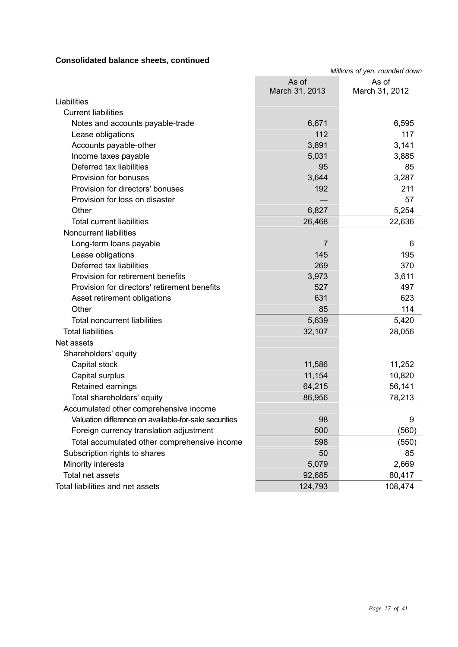## **Consolidated balance sheets, continued**

|                                                       | Millions of yen, rounded down |                         |
|-------------------------------------------------------|-------------------------------|-------------------------|
|                                                       | As of<br>March 31, 2013       | As of<br>March 31, 2012 |
| Liabilities                                           |                               |                         |
| <b>Current liabilities</b>                            |                               |                         |
| Notes and accounts payable-trade                      | 6,671                         | 6,595                   |
| Lease obligations                                     | 112                           | 117                     |
| Accounts payable-other                                | 3,891                         | 3,141                   |
| Income taxes payable                                  | 5,031                         | 3,885                   |
| Deferred tax liabilities                              | 95                            | 85                      |
| Provision for bonuses                                 | 3,644                         | 3,287                   |
| Provision for directors' bonuses                      | 192                           | 211                     |
| Provision for loss on disaster                        |                               | 57                      |
| Other                                                 | 6,827                         | 5,254                   |
| <b>Total current liabilities</b>                      | 26,468                        | 22,636                  |
| <b>Noncurrent liabilities</b>                         |                               |                         |
| Long-term loans payable                               | $\overline{7}$                | 6                       |
| Lease obligations                                     | 145                           | 195                     |
| Deferred tax liabilities                              | 269                           | 370                     |
| Provision for retirement benefits                     | 3,973                         | 3,611                   |
| Provision for directors' retirement benefits          | 527                           | 497                     |
| Asset retirement obligations                          | 631                           | 623                     |
| Other                                                 | 85                            | 114                     |
| <b>Total noncurrent liabilities</b>                   | 5,639                         | 5,420                   |
| <b>Total liabilities</b>                              | 32,107                        | 28,056                  |
| Net assets                                            |                               |                         |
| Shareholders' equity                                  |                               |                         |
| Capital stock                                         | 11,586                        | 11,252                  |
| Capital surplus                                       | 11,154                        | 10,820                  |
| Retained earnings                                     | 64,215                        | 56,141                  |
| Total shareholders' equity                            | 86,956                        | 78,213                  |
| Accumulated other comprehensive income                |                               |                         |
| Valuation difference on available-for-sale securities | 98                            | 9                       |
| Foreign currency translation adjustment               | 500                           | (560)                   |
| Total accumulated other comprehensive income          | 598                           | (550)                   |
| Subscription rights to shares                         | 50                            | 85                      |
| Minority interests                                    | 5,079                         | 2,669                   |
| Total net assets                                      | 92,685                        | 80,417                  |
| Total liabilities and net assets                      | 124,793                       | 108,474                 |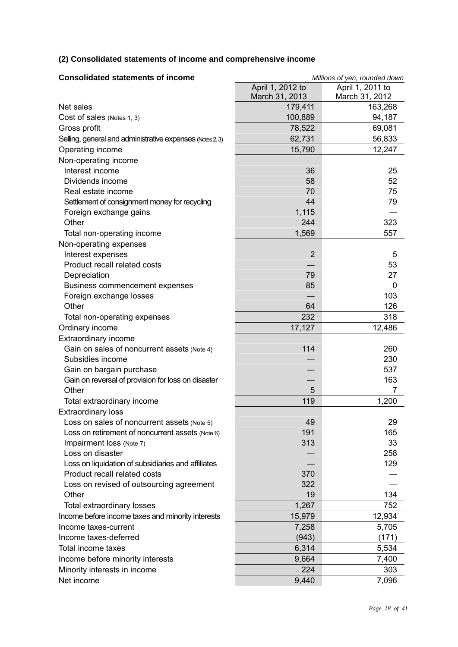## **(2) Consolidated statements of income and comprehensive income**

| <b>Consolidated statements of income</b>                  | Millions of yen, rounded down |                  |
|-----------------------------------------------------------|-------------------------------|------------------|
|                                                           | April 1, 2012 to              | April 1, 2011 to |
|                                                           | March 31, 2013                | March 31, 2012   |
| Net sales                                                 | 179,411                       | 163,268          |
| Cost of sales (Notes 1, 3)                                | 100,889                       | 94,187           |
| Gross profit                                              | 78,522                        | 69,081           |
| Selling, general and administrative expenses (Notes 2, 3) | 62,731                        | 56,833           |
| Operating income                                          | 15,790                        | 12,247           |
| Non-operating income                                      |                               |                  |
| Interest income                                           | 36                            | 25               |
| Dividends income                                          | 58                            | 52               |
| Real estate income                                        | 70                            | 75               |
| Settlement of consignment money for recycling             | 44                            | 79               |
| Foreign exchange gains                                    | 1,115                         |                  |
| Other                                                     | 244                           | 323              |
| Total non-operating income                                | 1,569                         | 557              |
| Non-operating expenses                                    |                               |                  |
| Interest expenses                                         | $\overline{2}$                | 5                |
| Product recall related costs                              |                               | 53               |
| Depreciation                                              | 79                            | 27               |
| <b>Business commencement expenses</b>                     | 85                            | 0                |
| Foreign exchange losses                                   |                               | 103              |
| Other                                                     | 64                            | 126              |
| Total non-operating expenses                              | 232                           | 318              |
| Ordinary income                                           | 17,127                        | 12,486           |
| <b>Extraordinary income</b>                               |                               |                  |
| Gain on sales of noncurrent assets (Note 4)               | 114                           | 260              |
| Subsidies income                                          |                               | 230              |
| Gain on bargain purchase                                  |                               | 537              |
| Gain on reversal of provision for loss on disaster        |                               | 163              |
| Other                                                     | 5                             | 7                |
| Total extraordinary income                                | 119                           | 1,200            |
| <b>Extraordinary loss</b>                                 |                               |                  |
| Loss on sales of noncurrent assets (Note 5)               | 49                            | 29               |
| Loss on retirement of noncurrent assets (Note 6)          | 191                           | 165              |
| Impairment loss (Note 7)                                  | 313                           | 33               |
| Loss on disaster                                          |                               | 258              |
| Loss on liquidation of subsidiaries and affiliates        |                               | 129              |
| Product recall related costs                              | 370                           |                  |
| Loss on revised of outsourcing agreement                  | 322                           |                  |
| Other                                                     | 19                            | 134              |
| Total extraordinary losses                                | 1,267                         | 752              |
| Income before income taxes and minority interests         | 15,979                        | 12,934           |
| Income taxes-current                                      | 7,258                         | 5,705            |
| Income taxes-deferred                                     | (943)                         | (171)            |
| Total income taxes                                        | 6,314                         | 5,534            |
| Income before minority interests                          | 9,664                         | 7,400            |
| Minority interests in income                              | 224                           | 303              |
| Net income                                                | 9,440                         | 7,096            |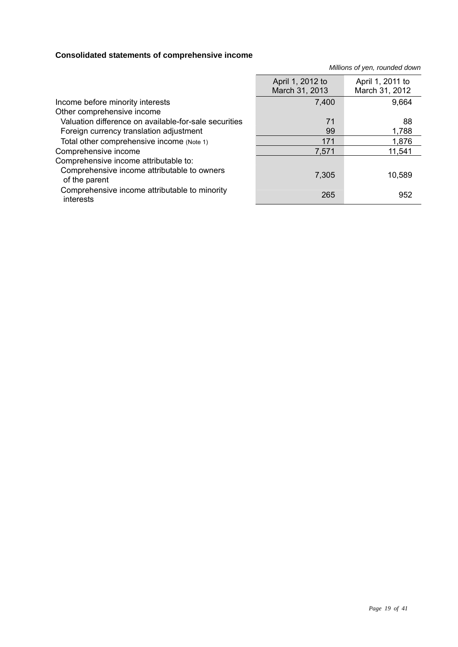## **Consolidated statements of comprehensive income**

*Millions of yen, rounded down*

|                                                              | April 1, 2012 to<br>March 31, 2013 | April 1, 2011 to<br>March 31, 2012 |
|--------------------------------------------------------------|------------------------------------|------------------------------------|
| Income before minority interests                             | 7,400                              | 9,664                              |
| Other comprehensive income                                   |                                    |                                    |
| Valuation difference on available-for-sale securities        | 71                                 | 88                                 |
| Foreign currency translation adjustment                      | 99                                 | 1,788                              |
| Total other comprehensive income (Note 1)                    | 171                                | 1,876                              |
| Comprehensive income                                         | 7,571                              | 11,541                             |
| Comprehensive income attributable to:                        |                                    |                                    |
| Comprehensive income attributable to owners<br>of the parent | 7,305                              | 10,589                             |
| Comprehensive income attributable to minority<br>interests   | 265                                | 952                                |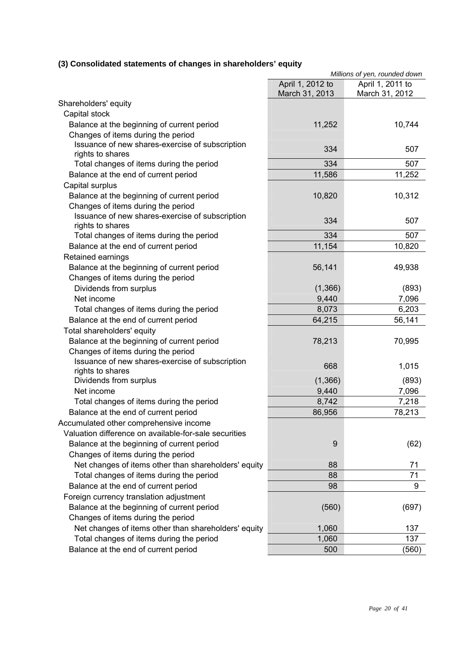## **(3) Consolidated statements of changes in shareholders' equity**

|                                                                     |                                    | Millions of yen, rounded down      |
|---------------------------------------------------------------------|------------------------------------|------------------------------------|
|                                                                     | April 1, 2012 to<br>March 31, 2013 | April 1, 2011 to<br>March 31, 2012 |
| Shareholders' equity                                                |                                    |                                    |
| Capital stock                                                       |                                    |                                    |
| Balance at the beginning of current period                          | 11,252                             | 10,744                             |
| Changes of items during the period                                  |                                    |                                    |
| Issuance of new shares-exercise of subscription                     | 334                                | 507                                |
| rights to shares                                                    |                                    |                                    |
| Total changes of items during the period                            | 334                                | 507                                |
| Balance at the end of current period                                | 11,586                             | 11,252                             |
| Capital surplus                                                     |                                    |                                    |
| Balance at the beginning of current period                          | 10,820                             | 10,312                             |
| Changes of items during the period                                  |                                    |                                    |
| Issuance of new shares-exercise of subscription<br>rights to shares | 334                                | 507                                |
| Total changes of items during the period                            | 334                                | 507                                |
| Balance at the end of current period                                | 11,154                             | 10,820                             |
| Retained earnings                                                   |                                    |                                    |
| Balance at the beginning of current period                          | 56,141                             | 49,938                             |
| Changes of items during the period                                  |                                    |                                    |
| Dividends from surplus                                              | (1,366)                            | (893)                              |
| Net income                                                          | 9,440                              | 7,096                              |
| Total changes of items during the period                            | 8,073                              | 6,203                              |
| Balance at the end of current period                                | 64,215                             | 56,141                             |
| Total shareholders' equity                                          |                                    |                                    |
| Balance at the beginning of current period                          | 78,213                             | 70,995                             |
| Changes of items during the period                                  |                                    |                                    |
| Issuance of new shares-exercise of subscription                     |                                    |                                    |
| rights to shares                                                    | 668                                | 1,015                              |
| Dividends from surplus                                              | (1,366)                            | (893)                              |
| Net income                                                          | 9,440                              | 7,096                              |
| Total changes of items during the period                            | 8,742                              | 7,218                              |
| Balance at the end of current period                                | 86,956                             | 78,213                             |
| Accumulated other comprehensive income                              |                                    |                                    |
| Valuation difference on available-for-sale securities               |                                    |                                    |
| Balance at the beginning of current period                          | 9                                  | (62)                               |
| Changes of items during the period                                  |                                    |                                    |
| Net changes of items other than shareholders' equity                | 88                                 | 71                                 |
| Total changes of items during the period                            | 88                                 | 71                                 |
| Balance at the end of current period                                | 98                                 | 9                                  |
| Foreign currency translation adjustment                             |                                    |                                    |
| Balance at the beginning of current period                          | (560)                              | (697)                              |
| Changes of items during the period                                  |                                    |                                    |
| Net changes of items other than shareholders' equity                | 1,060                              | 137                                |
| Total changes of items during the period                            | 1,060                              | 137                                |
| Balance at the end of current period                                | 500                                | (560)                              |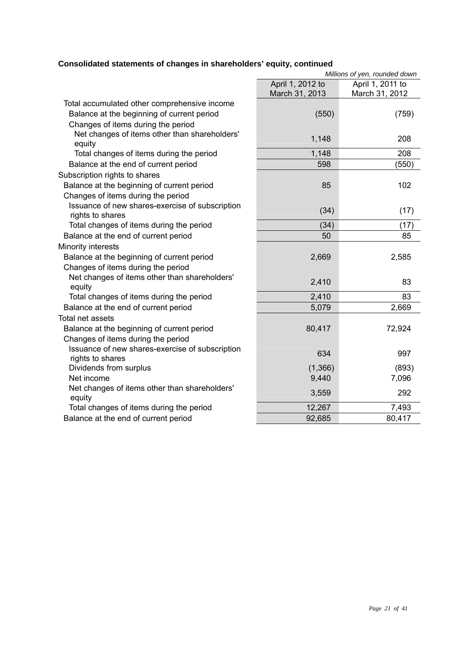## **Consolidated statements of changes in shareholders' equity, continued**

|                                                                     |                                    | Millions of yen, rounded down      |
|---------------------------------------------------------------------|------------------------------------|------------------------------------|
|                                                                     | April 1, 2012 to<br>March 31, 2013 | April 1, 2011 to<br>March 31, 2012 |
| Total accumulated other comprehensive income                        |                                    |                                    |
| Balance at the beginning of current period                          | (550)                              | (759)                              |
| Changes of items during the period                                  |                                    |                                    |
| Net changes of items other than shareholders'<br>equity             | 1,148                              | 208                                |
| Total changes of items during the period                            | 1,148                              | 208                                |
| Balance at the end of current period                                | 598                                | (550)                              |
| Subscription rights to shares                                       |                                    |                                    |
| Balance at the beginning of current period                          | 85                                 | 102                                |
| Changes of items during the period                                  |                                    |                                    |
| Issuance of new shares-exercise of subscription<br>rights to shares | (34)                               | (17)                               |
| Total changes of items during the period                            | (34)                               | (17)                               |
| Balance at the end of current period                                | 50                                 | 85                                 |
| Minority interests                                                  |                                    |                                    |
| Balance at the beginning of current period                          | 2,669                              | 2,585                              |
| Changes of items during the period                                  |                                    |                                    |
| Net changes of items other than shareholders'<br>equity             | 2,410                              | 83                                 |
| Total changes of items during the period                            | 2,410                              | 83                                 |
| Balance at the end of current period                                | 5,079                              | 2,669                              |
| Total net assets                                                    |                                    |                                    |
| Balance at the beginning of current period                          | 80,417                             | 72,924                             |
| Changes of items during the period                                  |                                    |                                    |
| Issuance of new shares-exercise of subscription<br>rights to shares | 634                                | 997                                |
| Dividends from surplus                                              | (1,366)                            | (893)                              |
| Net income                                                          | 9,440                              | 7,096                              |
| Net changes of items other than shareholders'<br>equity             | 3,559                              | 292                                |
| Total changes of items during the period                            | 12,267                             | 7,493                              |
| Balance at the end of current period                                | 92,685                             | 80,417                             |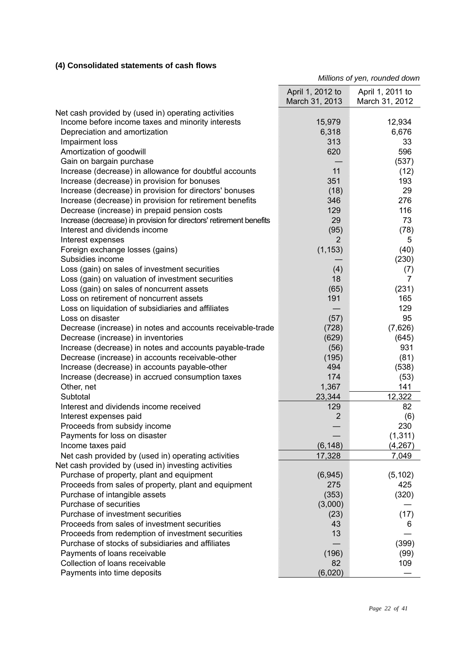## **(4) Consolidated statements of cash flows**

*Millions of yen, rounded down*

|                                                                     | April 1, 2012 to<br>March 31, 2013 | April 1, 2011 to<br>March 31, 2012 |
|---------------------------------------------------------------------|------------------------------------|------------------------------------|
| Net cash provided by (used in) operating activities                 |                                    |                                    |
| Income before income taxes and minority interests                   | 15,979                             | 12,934                             |
| Depreciation and amortization                                       | 6,318                              | 6,676                              |
| Impairment loss                                                     | 313                                | 33                                 |
| Amortization of goodwill                                            | 620                                | 596                                |
| Gain on bargain purchase                                            |                                    | (537)                              |
| Increase (decrease) in allowance for doubtful accounts              | 11                                 | (12)                               |
| Increase (decrease) in provision for bonuses                        | 351                                | 193                                |
| Increase (decrease) in provision for directors' bonuses             | (18)                               | 29                                 |
| Increase (decrease) in provision for retirement benefits            | 346                                | 276                                |
| Decrease (increase) in prepaid pension costs                        | 129                                | 116                                |
| Increase (decrease) in provision for directors' retirement benefits | 29                                 | 73                                 |
| Interest and dividends income                                       | (95)                               | (78)                               |
| Interest expenses                                                   | 2                                  | 5                                  |
| Foreign exchange losses (gains)                                     | (1, 153)                           | (40)                               |
| Subsidies income                                                    |                                    | (230)                              |
| Loss (gain) on sales of investment securities                       | (4)                                | (7)                                |
| Loss (gain) on valuation of investment securities                   | 18                                 | 7                                  |
| Loss (gain) on sales of noncurrent assets                           | (65)                               | (231)                              |
| Loss on retirement of noncurrent assets                             | 191                                | 165                                |
| Loss on liquidation of subsidiaries and affiliates                  |                                    | 129                                |
| Loss on disaster                                                    | (57)                               | 95                                 |
| Decrease (increase) in notes and accounts receivable-trade          | (728)                              | (7,626)                            |
| Decrease (increase) in inventories                                  | (629)                              | (645)                              |
| Increase (decrease) in notes and accounts payable-trade             | (56)                               | 931                                |
| Decrease (increase) in accounts receivable-other                    | (195)                              | (81)                               |
| Increase (decrease) in accounts payable-other                       | 494                                | (538)                              |
| Increase (decrease) in accrued consumption taxes                    | 174                                | (53)                               |
| Other, net                                                          | 1,367                              | 141                                |
| Subtotal                                                            | 23,344                             | 12,322                             |
| Interest and dividends income received                              | 129                                | 82                                 |
| Interest expenses paid                                              | 2                                  | (6)                                |
| Proceeds from subsidy income                                        |                                    | 230                                |
| Payments for loss on disaster                                       |                                    | (1, 311)                           |
| Income taxes paid                                                   | (6, 148)                           | (4, 267)                           |
| Net cash provided by (used in) operating activities                 | 17,328                             | 7,049                              |
| Net cash provided by (used in) investing activities                 |                                    |                                    |
| Purchase of property, plant and equipment                           | (6,945)                            | (5, 102)                           |
| Proceeds from sales of property, plant and equipment                | 275                                | 425                                |
| Purchase of intangible assets                                       | (353)                              | (320)                              |
| Purchase of securities                                              | (3,000)                            |                                    |
| Purchase of investment securities                                   | (23)                               | (17)                               |
| Proceeds from sales of investment securities                        | 43                                 | 6                                  |
| Proceeds from redemption of investment securities                   | 13                                 |                                    |
| Purchase of stocks of subsidiaries and affiliates                   |                                    | (399)                              |
| Payments of loans receivable                                        | (196)                              | (99)                               |
| Collection of loans receivable                                      | 82                                 | 109                                |
| Payments into time deposits                                         | (6,020)                            |                                    |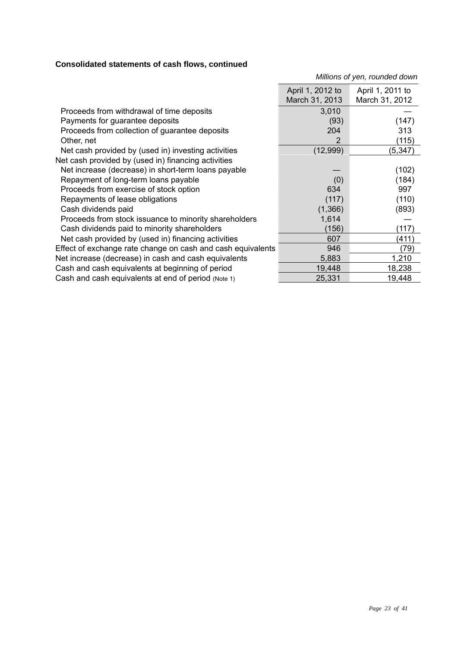## **Consolidated statements of cash flows, continued**

*Millions of yen, rounded down*

| 3,010<br>Proceeds from withdrawal of time deposits<br>Payments for guarantee deposits<br>(93)<br>(147)<br>Proceeds from collection of guarantee deposits<br>313<br>204<br>2<br>(115)<br>Other, net<br>(5, 347)<br>Net cash provided by (used in) investing activities<br>(12,999)<br>Net cash provided by (used in) financing activities<br>Net increase (decrease) in short-term loans payable<br>(102)<br>(184)<br>Repayment of long-term loans payable<br>(0)<br>634<br>Proceeds from exercise of stock option<br>997<br>Repayments of lease obligations<br>(110)<br>(117)<br>(1,366)<br>Cash dividends paid<br>(893)<br>1,614<br>Proceeds from stock issuance to minority shareholders<br>Cash dividends paid to minority shareholders<br>(156)<br>(117)<br>Net cash provided by (used in) financing activities<br>(411)<br>607<br>(79)<br>Effect of exchange rate change on cash and cash equivalents<br>946<br>1,210<br>Net increase (decrease) in cash and cash equivalents<br>5,883<br>Cash and cash equivalents at beginning of period<br>19,448<br>18,238<br>25,331<br>Cash and cash equivalents at end of period (Note 1)<br>19,448 | April 1, 2012 to<br>March 31, 2013 | April 1, 2011 to<br>March 31, 2012 |
|------------------------------------------------------------------------------------------------------------------------------------------------------------------------------------------------------------------------------------------------------------------------------------------------------------------------------------------------------------------------------------------------------------------------------------------------------------------------------------------------------------------------------------------------------------------------------------------------------------------------------------------------------------------------------------------------------------------------------------------------------------------------------------------------------------------------------------------------------------------------------------------------------------------------------------------------------------------------------------------------------------------------------------------------------------------------------------------------------------------------------------------------|------------------------------------|------------------------------------|
|                                                                                                                                                                                                                                                                                                                                                                                                                                                                                                                                                                                                                                                                                                                                                                                                                                                                                                                                                                                                                                                                                                                                                |                                    |                                    |
|                                                                                                                                                                                                                                                                                                                                                                                                                                                                                                                                                                                                                                                                                                                                                                                                                                                                                                                                                                                                                                                                                                                                                |                                    |                                    |
|                                                                                                                                                                                                                                                                                                                                                                                                                                                                                                                                                                                                                                                                                                                                                                                                                                                                                                                                                                                                                                                                                                                                                |                                    |                                    |
|                                                                                                                                                                                                                                                                                                                                                                                                                                                                                                                                                                                                                                                                                                                                                                                                                                                                                                                                                                                                                                                                                                                                                |                                    |                                    |
|                                                                                                                                                                                                                                                                                                                                                                                                                                                                                                                                                                                                                                                                                                                                                                                                                                                                                                                                                                                                                                                                                                                                                |                                    |                                    |
|                                                                                                                                                                                                                                                                                                                                                                                                                                                                                                                                                                                                                                                                                                                                                                                                                                                                                                                                                                                                                                                                                                                                                |                                    |                                    |
|                                                                                                                                                                                                                                                                                                                                                                                                                                                                                                                                                                                                                                                                                                                                                                                                                                                                                                                                                                                                                                                                                                                                                |                                    |                                    |
|                                                                                                                                                                                                                                                                                                                                                                                                                                                                                                                                                                                                                                                                                                                                                                                                                                                                                                                                                                                                                                                                                                                                                |                                    |                                    |
|                                                                                                                                                                                                                                                                                                                                                                                                                                                                                                                                                                                                                                                                                                                                                                                                                                                                                                                                                                                                                                                                                                                                                |                                    |                                    |
|                                                                                                                                                                                                                                                                                                                                                                                                                                                                                                                                                                                                                                                                                                                                                                                                                                                                                                                                                                                                                                                                                                                                                |                                    |                                    |
|                                                                                                                                                                                                                                                                                                                                                                                                                                                                                                                                                                                                                                                                                                                                                                                                                                                                                                                                                                                                                                                                                                                                                |                                    |                                    |
|                                                                                                                                                                                                                                                                                                                                                                                                                                                                                                                                                                                                                                                                                                                                                                                                                                                                                                                                                                                                                                                                                                                                                |                                    |                                    |
|                                                                                                                                                                                                                                                                                                                                                                                                                                                                                                                                                                                                                                                                                                                                                                                                                                                                                                                                                                                                                                                                                                                                                |                                    |                                    |
|                                                                                                                                                                                                                                                                                                                                                                                                                                                                                                                                                                                                                                                                                                                                                                                                                                                                                                                                                                                                                                                                                                                                                |                                    |                                    |
|                                                                                                                                                                                                                                                                                                                                                                                                                                                                                                                                                                                                                                                                                                                                                                                                                                                                                                                                                                                                                                                                                                                                                |                                    |                                    |
|                                                                                                                                                                                                                                                                                                                                                                                                                                                                                                                                                                                                                                                                                                                                                                                                                                                                                                                                                                                                                                                                                                                                                |                                    |                                    |
|                                                                                                                                                                                                                                                                                                                                                                                                                                                                                                                                                                                                                                                                                                                                                                                                                                                                                                                                                                                                                                                                                                                                                |                                    |                                    |
|                                                                                                                                                                                                                                                                                                                                                                                                                                                                                                                                                                                                                                                                                                                                                                                                                                                                                                                                                                                                                                                                                                                                                |                                    |                                    |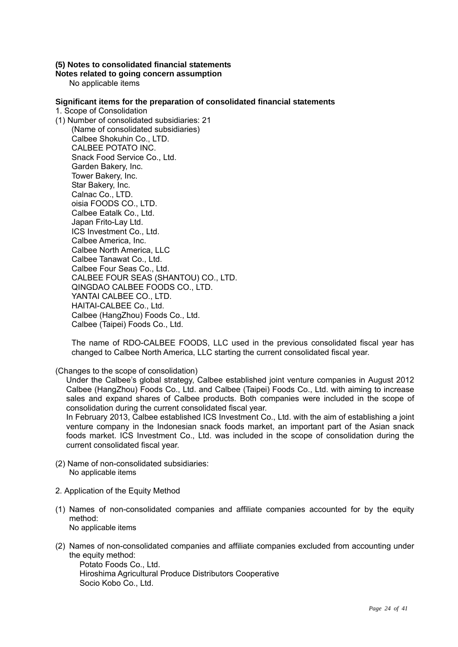#### **(5) Notes to consolidated financial statements**

**Notes related to going concern assumption** 

No applicable items

#### **Significant items for the preparation of consolidated financial statements**

1. Scope of Consolidation

(1) Number of consolidated subsidiaries: 21 (Name of consolidated subsidiaries) Calbee Shokuhin Co., LTD. CALBEE POTATO INC. Snack Food Service Co., Ltd. Garden Bakery, Inc. Tower Bakery, Inc. Star Bakery, Inc. Calnac Co., LTD. oisia FOODS CO., LTD. Calbee Eatalk Co., Ltd. Japan Frito-Lay Ltd. ICS Investment Co., Ltd. Calbee America, Inc. Calbee North America, LLC Calbee Tanawat Co., Ltd. Calbee Four Seas Co., Ltd. CALBEE FOUR SEAS (SHANTOU) CO., LTD. QINGDAO CALBEE FOODS CO., LTD. YANTAI CALBEE CO., LTD. HAITAI-CALBEE Co., Ltd. Calbee (HangZhou) Foods Co., Ltd. Calbee (Taipei) Foods Co., Ltd.

The name of RDO-CALBEE FOODS, LLC used in the previous consolidated fiscal year has changed to Calbee North America, LLC starting the current consolidated fiscal year.

(Changes to the scope of consolidation)

Under the Calbee's global strategy, Calbee established joint venture companies in August 2012 Calbee (HangZhou) Foods Co., Ltd. and Calbee (Taipei) Foods Co., Ltd. with aiming to increase sales and expand shares of Calbee products. Both companies were included in the scope of consolidation during the current consolidated fiscal year.

In February 2013, Calbee established ICS Investment Co., Ltd. with the aim of establishing a joint venture company in the Indonesian snack foods market, an important part of the Asian snack foods market. ICS Investment Co., Ltd. was included in the scope of consolidation during the current consolidated fiscal year.

- (2) Name of non-consolidated subsidiaries: No applicable items
- 2. Application of the Equity Method
- (1) Names of non-consolidated companies and affiliate companies accounted for by the equity method: No applicable items
- (2) Names of non-consolidated companies and affiliate companies excluded from accounting under the equity method:

Potato Foods Co., Ltd. Hiroshima Agricultural Produce Distributors Cooperative Socio Kobo Co., Ltd.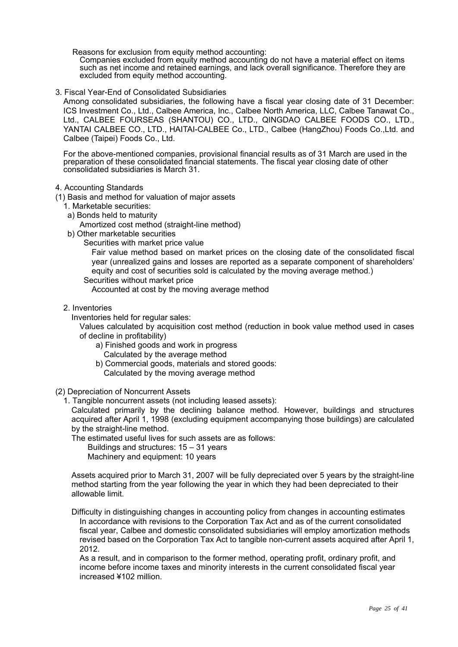Reasons for exclusion from equity method accounting:

Companies excluded from equity method accounting do not have a material effect on items such as net income and retained earnings, and lack overall significance. Therefore they are excluded from equity method accounting.

3. Fiscal Year-End of Consolidated Subsidiaries

Among consolidated subsidiaries, the following have a fiscal year closing date of 31 December: ICS Investment Co., Ltd., Calbee America, Inc., Calbee North America, LLC, Calbee Tanawat Co., Ltd., CALBEE FOURSEAS (SHANTOU) CO., LTD., QINGDAO CALBEE FOODS CO., LTD., YANTAI CALBEE CO., LTD., HAITAI-CALBEE Co., LTD., Calbee (HangZhou) Foods Co.,Ltd. and Calbee (Taipei) Foods Co., Ltd.

For the above-mentioned companies, provisional financial results as of 31 March are used in the preparation of these consolidated financial statements. The fiscal year closing date of other consolidated subsidiaries is March 31.

4. Accounting Standards

(1) Basis and method for valuation of major assets

- 1. Marketable securities:
	- a) Bonds held to maturity

Amortized cost method (straight-line method)

- b) Other marketable securities
	- Securities with market price value

Fair value method based on market prices on the closing date of the consolidated fiscal year (unrealized gains and losses are reported as a separate component of shareholders' equity and cost of securities sold is calculated by the moving average method.)

Securities without market price

Accounted at cost by the moving average method

2. Inventories

Inventories held for regular sales:

Values calculated by acquisition cost method (reduction in book value method used in cases of decline in profitability)

- a) Finished goods and work in progress Calculated by the average method
- b) Commercial goods, materials and stored goods: Calculated by the moving average method
- (2) Depreciation of Noncurrent Assets

1. Tangible noncurrent assets (not including leased assets):

Calculated primarily by the declining balance method. However, buildings and structures acquired after April 1, 1998 (excluding equipment accompanying those buildings) are calculated by the straight-line method.

- The estimated useful lives for such assets are as follows:
	- Buildings and structures: 15 31 years
	- Machinery and equipment: 10 years

Assets acquired prior to March 31, 2007 will be fully depreciated over 5 years by the straight-line method starting from the year following the year in which they had been depreciated to their allowable limit.

Difficulty in distinguishing changes in accounting policy from changes in accounting estimates In accordance with revisions to the Corporation Tax Act and as of the current consolidated fiscal year, Calbee and domestic consolidated subsidiaries will employ amortization methods revised based on the Corporation Tax Act to tangible non-current assets acquired after April 1, 2012.

As a result, and in comparison to the former method, operating profit, ordinary profit, and income before income taxes and minority interests in the current consolidated fiscal year increased ¥102 million.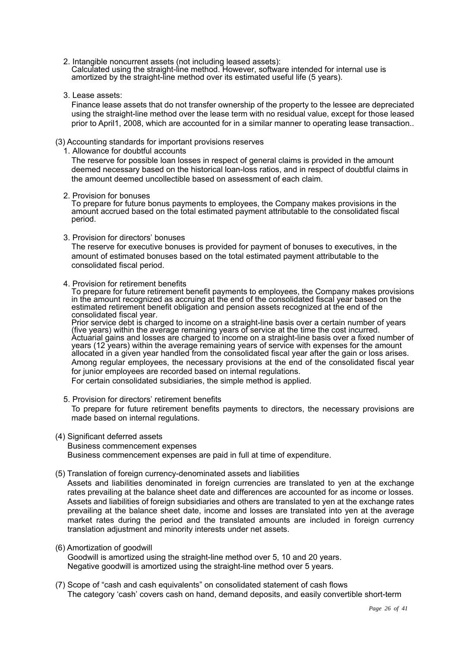- 2. Intangible noncurrent assets (not including leased assets): Calculated using the straight-line method. However, software intended for internal use is amortized by the straight-line method over its estimated useful life (5 years).
- 3. Lease assets:

Finance lease assets that do not transfer ownership of the property to the lessee are depreciated using the straight-line method over the lease term with no residual value, except for those leased prior to April1, 2008, which are accounted for in a similar manner to operating lease transaction..

#### (3) Accounting standards for important provisions reserves

1. Allowance for doubtful accounts

The reserve for possible loan losses in respect of general claims is provided in the amount deemed necessary based on the historical loan-loss ratios, and in respect of doubtful claims in the amount deemed uncollectible based on assessment of each claim.

2. Provision for bonuses

To prepare for future bonus payments to employees, the Company makes provisions in the amount accrued based on the total estimated payment attributable to the consolidated fiscal period.

3. Provision for directors' bonuses

The reserve for executive bonuses is provided for payment of bonuses to executives, in the amount of estimated bonuses based on the total estimated payment attributable to the consolidated fiscal period.

4. Provision for retirement benefits

To prepare for future retirement benefit payments to employees, the Company makes provisions in the amount recognized as accruing at the end of the consolidated fiscal year based on the estimated retirement benefit obligation and pension assets recognized at the end of the consolidated fiscal year.

Prior service debt is charged to income on a straight-line basis over a certain number of years (five years) within the average remaining years of service at the time the cost incurred. Actuarial gains and losses are charged to income on a straight-line basis over a fixed number of years (12 years) within the average remaining years of service with expenses for the amount allocated in a given year handled from the consolidated fiscal year after the gain or loss arises. Among regular employees, the necessary provisions at the end of the consolidated fiscal year for junior employees are recorded based on internal regulations.

For certain consolidated subsidiaries, the simple method is applied.

- 5. Provision for directors' retirement benefits To prepare for future retirement benefits payments to directors, the necessary provisions are made based on internal regulations.
- (4) Significant deferred assets

Business commencement expenses Business commencement expenses are paid in full at time of expenditure.

(5) Translation of foreign currency-denominated assets and liabilities

Assets and liabilities denominated in foreign currencies are translated to yen at the exchange rates prevailing at the balance sheet date and differences are accounted for as income or losses. Assets and liabilities of foreign subsidiaries and others are translated to yen at the exchange rates prevailing at the balance sheet date, income and losses are translated into yen at the average market rates during the period and the translated amounts are included in foreign currency translation adjustment and minority interests under net assets.

(6) Amortization of goodwill

Goodwill is amortized using the straight-line method over 5, 10 and 20 years. Negative goodwill is amortized using the straight-line method over 5 years.

(7) Scope of "cash and cash equivalents" on consolidated statement of cash flows The category 'cash' covers cash on hand, demand deposits, and easily convertible short-term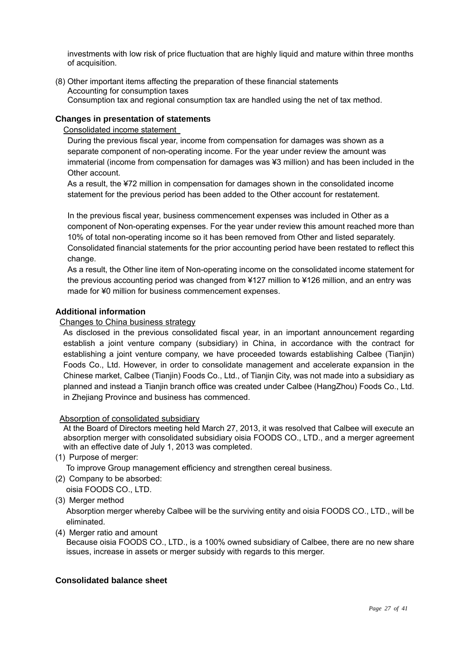investments with low risk of price fluctuation that are highly liquid and mature within three months of acquisition.

(8) Other important items affecting the preparation of these financial statements Accounting for consumption taxes Consumption tax and regional consumption tax are handled using the net of tax method.

## **Changes in presentation of statements**

Consolidated income statement

During the previous fiscal year, income from compensation for damages was shown as a separate component of non-operating income. For the year under review the amount was immaterial (income from compensation for damages was ¥3 million) and has been included in the Other account.

As a result, the ¥72 million in compensation for damages shown in the consolidated income statement for the previous period has been added to the Other account for restatement.

In the previous fiscal year, business commencement expenses was included in Other as a component of Non-operating expenses. For the year under review this amount reached more than 10% of total non-operating income so it has been removed from Other and listed separately. Consolidated financial statements for the prior accounting period have been restated to reflect this change.

As a result, the Other line item of Non-operating income on the consolidated income statement for the previous accounting period was changed from ¥127 million to ¥126 million, and an entry was made for ¥0 million for business commencement expenses.

## **Additional information**

## Changes to China business strategy

As disclosed in the previous consolidated fiscal year, in an important announcement regarding establish a joint venture company (subsidiary) in China, in accordance with the contract for establishing a joint venture company, we have proceeded towards establishing Calbee (Tianjin) Foods Co., Ltd. However, in order to consolidate management and accelerate expansion in the Chinese market, Calbee (Tianjin) Foods Co., Ltd., of Tianjin City, was not made into a subsidiary as planned and instead a Tianjin branch office was created under Calbee (HangZhou) Foods Co., Ltd. in Zheijang Province and business has commenced.

Absorption of consolidated subsidiary

At the Board of Directors meeting held March 27, 2013, it was resolved that Calbee will execute an absorption merger with consolidated subsidiary oisia FOODS CO., LTD., and a merger agreement with an effective date of July 1, 2013 was completed.

(1) Purpose of merger:

To improve Group management efficiency and strengthen cereal business.

(2) Company to be absorbed:

oisia FOODS CO., LTD.

(3) Merger method

Absorption merger whereby Calbee will be the surviving entity and oisia FOODS CO., LTD., will be eliminated.

(4) Merger ratio and amount

Because oisia FOODS CO., LTD., is a 100% owned subsidiary of Calbee, there are no new share issues, increase in assets or merger subsidy with regards to this merger.

## **Consolidated balance sheet**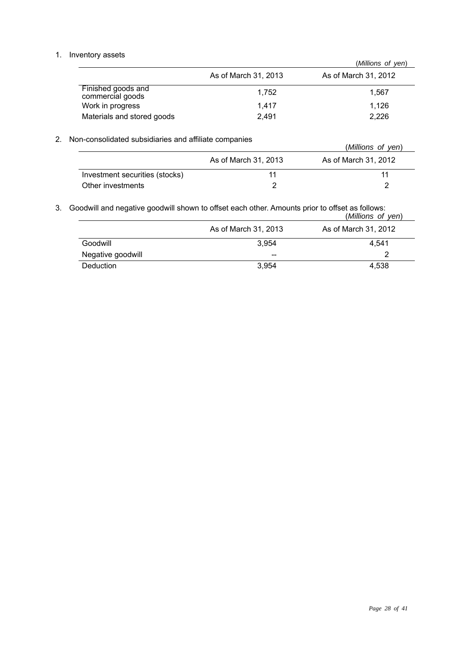## 1. Inventory assets

|                                        |                      | (Millions of yen)    |
|----------------------------------------|----------------------|----------------------|
|                                        | As of March 31, 2013 | As of March 31, 2012 |
| Finished goods and<br>commercial goods | 1.752                | 1.567                |
| Work in progress                       | 1.417                | 1.126                |
| Materials and stored goods             | 2.491                | 2,226                |

## 2. Non-consolidated subsidiaries and affiliate companies

| ,,, oonoonaatoa oaboraranoo ama ammato oompamoo |                      | (Millions of yen)    |  |
|-------------------------------------------------|----------------------|----------------------|--|
|                                                 | As of March 31, 2013 | As of March 31, 2012 |  |
| Investment securities (stocks)                  |                      | 11                   |  |
| Other investments                               |                      |                      |  |

3. Goodwill and negative goodwill shown to offset each other. Amounts prior to offset as follows:

|                   |                      | (Millions of yen)    |
|-------------------|----------------------|----------------------|
|                   | As of March 31, 2013 | As of March 31, 2012 |
| Goodwill          | 3.954                | 4.541                |
| Negative goodwill | $- -$                | າ                    |
| <b>Deduction</b>  | 3.954                | 4.538                |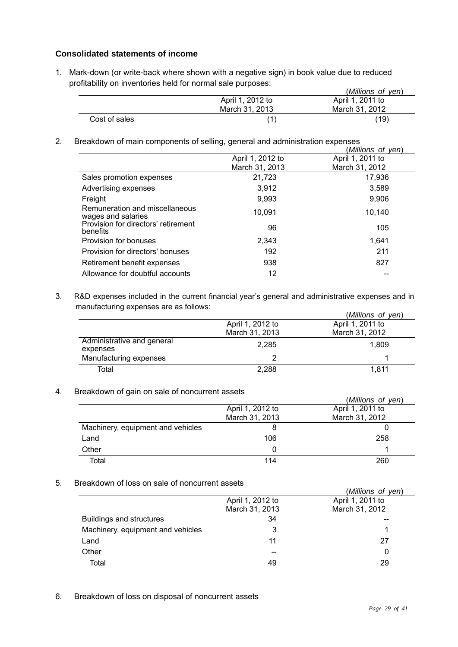## **Consolidated statements of income**

1. Mark-down (or write-back where shown with a negative sign) in book value due to reduced profitability on inventories held for normal sale purposes: (*Millions of yen*)

|               |                  | ( <i>Millions of Ven</i> ) |
|---------------|------------------|----------------------------|
|               | April 1, 2012 to | April 1, 2011 to           |
|               | March 31, 2013   | March 31, 2012             |
| Cost of sales |                  | (19)                       |

2. Breakdown of main components of selling, general and administration expenses

|                  | (Millions of yen) |
|------------------|-------------------|
| April 1, 2012 to | April 1, 2011 to  |
| March 31, 2013   | March 31, 2012    |
| 21,723           | 17,936            |
| 3,912            | 3,589             |
| 9,993            | 9,906             |
| 10.091           | 10,140            |
| 96               | 105               |
| 2,343            | 1.641             |
| 192              | 211               |
| 938              | 827               |
| 12               |                   |
|                  |                   |

3. R&D expenses included in the current financial year's general and administrative expenses and in manufacturing expenses are as follows: (*Millions of yen*)

|                                        |                  | (Millions of yen) |
|----------------------------------------|------------------|-------------------|
|                                        | April 1, 2012 to | April 1, 2011 to  |
|                                        | March 31, 2013   | March 31, 2012    |
| Administrative and general<br>expenses | 2.285            | 1.809             |
| Manufacturing expenses                 |                  |                   |
| Total                                  | 2,288            | 1.811             |

## 4. Breakdown of gain on sale of noncurrent assets

|                                   |                  | (Millions of yen) |
|-----------------------------------|------------------|-------------------|
|                                   | April 1, 2012 to | April 1, 2011 to  |
|                                   | March 31, 2013   | March 31, 2012    |
| Machinery, equipment and vehicles | 8                |                   |
| Land                              | 106              | 258               |
| Other                             | $\Omega$         |                   |
| Total                             | 114              | 260               |

## 5. Breakdown of loss on sale of noncurrent assets

| בטטפאטווטווטוווט טווט פאטווט וועט זויס ווי |                  | (Millions of yen) |
|--------------------------------------------|------------------|-------------------|
|                                            | April 1, 2012 to | April 1, 2011 to  |
|                                            | March 31, 2013   | March 31, 2012    |
| <b>Buildings and structures</b>            | 34               |                   |
| Machinery, equipment and vehicles          |                  |                   |
| Land                                       | 11               | 27                |
| Other                                      |                  | 0                 |
| Total                                      | 49               | 29                |

6. Breakdown of loss on disposal of noncurrent assets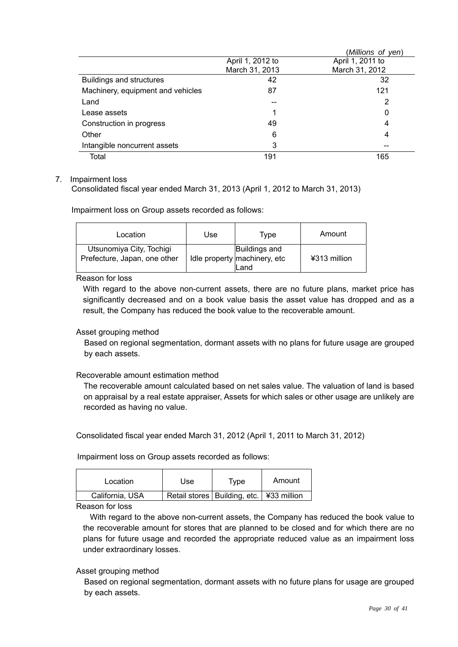|                                   |                  | (Millions of yen) |
|-----------------------------------|------------------|-------------------|
|                                   | April 1, 2012 to | April 1, 2011 to  |
|                                   | March 31, 2013   | March 31, 2012    |
| <b>Buildings and structures</b>   | 42               | 32                |
| Machinery, equipment and vehicles | 87               | 121               |
| Land                              |                  | 2                 |
| Lease assets                      |                  | 0                 |
| Construction in progress          | 49               | 4                 |
| Other                             | 6                | 4                 |
| Intangible noncurrent assets      | 3                |                   |
| Total                             | 191              | 165               |

## 7. Impairment loss

Consolidated fiscal year ended March 31, 2013 (April 1, 2012 to March 31, 2013)

Impairment loss on Group assets recorded as follows:

| Location                                                 | Use | Tvpe                                                  | Amount       |
|----------------------------------------------------------|-----|-------------------------------------------------------|--------------|
| Utsunomiya City, Tochigi<br>Prefecture, Japan, one other |     | Buildings and<br>Idle property machinery, etc<br>Land | ¥313 million |

Reason for loss

With regard to the above non-current assets, there are no future plans, market price has significantly decreased and on a book value basis the asset value has dropped and as a result, the Company has reduced the book value to the recoverable amount.

## Asset grouping method

Based on regional segmentation, dormant assets with no plans for future usage are grouped by each assets.

## Recoverable amount estimation method

The recoverable amount calculated based on net sales value. The valuation of land is based on appraisal by a real estate appraiser, Assets for which sales or other usage are unlikely are recorded as having no value.

Consolidated fiscal year ended March 31, 2012 (April 1, 2011 to March 31, 2012)

Impairment loss on Group assets recorded as follows:

| Location        | Use | Type                                         | Amount |
|-----------------|-----|----------------------------------------------|--------|
| California, USA |     | Retail stores   Building, etc.   ¥33 million |        |

Reason for loss

With regard to the above non-current assets, the Company has reduced the book value to the recoverable amount for stores that are planned to be closed and for which there are no plans for future usage and recorded the appropriate reduced value as an impairment loss under extraordinary losses.

## Asset grouping method

Based on regional segmentation, dormant assets with no future plans for usage are grouped by each assets.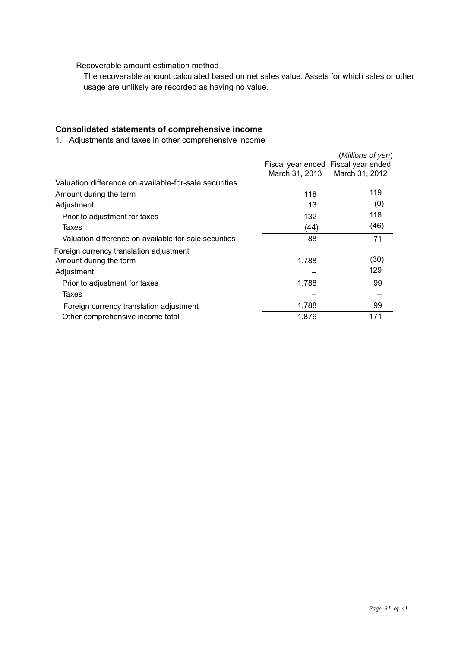Recoverable amount estimation method

The recoverable amount calculated based on net sales value. Assets for which sales or other usage are unlikely are recorded as having no value.

## **Consolidated statements of comprehensive income**

1. Adjustments and taxes in other comprehensive income

|                                                                                 |                | (Millions of yen)                                     |
|---------------------------------------------------------------------------------|----------------|-------------------------------------------------------|
|                                                                                 | March 31, 2013 | Fiscal year ended Fiscal year ended<br>March 31, 2012 |
| Valuation difference on available-for-sale securities                           |                |                                                       |
| Amount during the term                                                          | 118            | 119                                                   |
| Adjustment                                                                      | 13             | (0)                                                   |
| Prior to adjustment for taxes                                                   | 132            | 118                                                   |
| Taxes                                                                           | (44)           | (46)                                                  |
| Valuation difference on available-for-sale securities                           | 88             | 71                                                    |
| Foreign currency translation adjustment<br>Amount during the term<br>Adjustment | 1,788          | (30)<br>129                                           |
| Prior to adjustment for taxes                                                   | 1,788          | 99                                                    |
| Taxes                                                                           |                |                                                       |
| Foreign currency translation adjustment                                         | 1,788          | 99                                                    |
| Other comprehensive income total                                                | 1,876          | 171                                                   |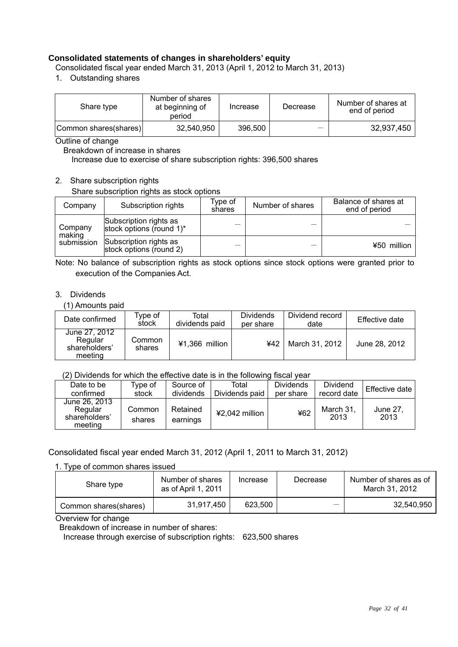## **Consolidated statements of changes in shareholders' equity**

Consolidated fiscal year ended March 31, 2013 (April 1, 2012 to March 31, 2013)

1. Outstanding shares

| Share type            | Number of shares<br>at beginning of<br>period | Increase | Decrease | Number of shares at<br>end of period |
|-----------------------|-----------------------------------------------|----------|----------|--------------------------------------|
| Common shares(shares) | 32,540,950                                    | 396,500  |          | 32,937,450                           |

Outline of change

Breakdown of increase in shares

Increase due to exercise of share subscription rights: 396,500 shares

## 2. Share subscription rights

Share subscription rights as stock options

| Company           | Subscription rights                                | Type of<br>shares | Number of shares | Balance of shares at<br>end of period |
|-------------------|----------------------------------------------------|-------------------|------------------|---------------------------------------|
| Company<br>making | Subscription rights as<br>stock options (round 1)* |                   |                  |                                       |
| submission        | Subscription rights as<br>stock options (round 2)  |                   |                  | ¥50 million                           |

Note: No balance of subscription rights as stock options since stock options were granted prior to execution of the Companies Act.

#### 3. Dividends

(1) Amounts paid

| Date confirmed                                       | $\tau$ vpe of $\,$<br>stock | Total<br>dividends paid | <b>Dividends</b><br>per share | Dividend record<br>date | Effective date |
|------------------------------------------------------|-----------------------------|-------------------------|-------------------------------|-------------------------|----------------|
| June 27, 2012<br>Regular<br>shareholders'<br>meeting | Common<br>shares            | $41.366$ million        | ¥42                           | March 31, 2012          | June 28, 2012  |

## (2) Dividends for which the effective date is in the following fiscal year

| Date to be                                           | Type of          | Source of            | Total          | <b>Dividends</b> | Dividend          | Effective date   |
|------------------------------------------------------|------------------|----------------------|----------------|------------------|-------------------|------------------|
| confirmed                                            | stock            | dividends            | Dividends paid | per share        | record date       |                  |
| June 26, 2013<br>Regular<br>shareholders'<br>meeting | Common<br>shares | Retained<br>earnings | ¥2,042 million | ¥62              | March 31.<br>2013 | June 27.<br>2013 |

## Consolidated fiscal year ended March 31, 2012 (April 1, 2011 to March 31, 2012)

1. Type of common shares issued

| Share type            | Number of shares<br>as of April 1, 2011 | Increase | Decrease | Number of shares as of<br>March 31, 2012 |
|-----------------------|-----------------------------------------|----------|----------|------------------------------------------|
| Common shares(shares) | 31.917.450                              | 623.500  |          | 32.540.950                               |

Overview for change

Breakdown of increase in number of shares:

Increase through exercise of subscription rights: 623,500 shares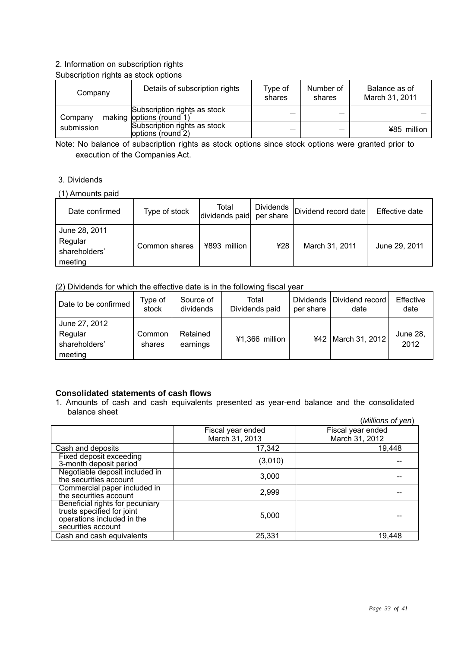## 2. Information on subscription rights

## Subscription rights as stock options

| Company    | Details of subscription rights                           | Type of<br>shares | Number of<br>shares | Balance as of<br>March 31, 2011 |
|------------|----------------------------------------------------------|-------------------|---------------------|---------------------------------|
| Company    | Subscription rights as stock<br>making options (round 1) |                   |                     |                                 |
| submission | Subscription rights as stock<br>options (round 2)        |                   |                     | ¥85 million                     |

Note: No balance of subscription rights as stock options since stock options were granted prior to execution of the Companies Act.

## 3. Dividends

#### (1) Amounts paid

| Date confirmed                                       | Type of stock | Total<br>dividends paid per share | Dividends | Dividend record date | Effective date |
|------------------------------------------------------|---------------|-----------------------------------|-----------|----------------------|----------------|
| June 28, 2011<br>Regular<br>shareholders'<br>meeting | Common shares | ¥893 million                      | ¥28       | March 31, 2011       | June 29, 2011  |

(2) Dividends for which the effective date is in the following fiscal year

| Date to be confirmed                                 | Type of<br>stock | Source of<br>dividends | Total<br>Dividends paid | per share | Dividends   Dividend record  <br>date | Effective<br>date |
|------------------------------------------------------|------------------|------------------------|-------------------------|-----------|---------------------------------------|-------------------|
| June 27, 2012<br>Regular<br>shareholders'<br>meeting | Common<br>shares | Retained<br>earnings   | ¥1,366 million          |           | ¥42   March 31, 2012                  | June 28,<br>2012  |

## **Consolidated statements of cash flows**

1. Amounts of cash and cash equivalents presented as year-end balance and the consolidated balance sheet

|                                                                                                                   |                   | (Millions of yen) |
|-------------------------------------------------------------------------------------------------------------------|-------------------|-------------------|
|                                                                                                                   | Fiscal year ended | Fiscal year ended |
|                                                                                                                   | March 31, 2013    | March 31, 2012    |
| Cash and deposits                                                                                                 | 17,342            | 19,448            |
| Fixed deposit exceeding<br>3-month deposit period                                                                 | (3,010)           |                   |
| Negotiable deposit included in<br>the securities account                                                          | 3,000             |                   |
| Commercial paper included in<br>the securities account                                                            | 2,999             |                   |
| Beneficial rights for pecuniary<br>trusts specified for joint<br>operations included in the<br>securities account | 5,000             |                   |
| Cash and cash equivalents                                                                                         | 25,331            | 19,448            |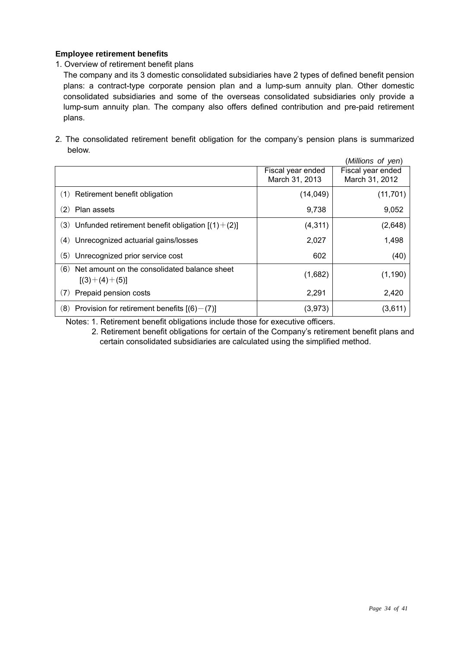## **Employee retirement benefits**

1. Overview of retirement benefit plans

 The company and its 3 domestic consolidated subsidiaries have 2 types of defined benefit pension plans: a contract-type corporate pension plan and a lump-sum annuity plan. Other domestic consolidated subsidiaries and some of the overseas consolidated subsidiaries only provide a lump-sum annuity plan. The company also offers defined contribution and pre-paid retirement plans.

2. The consolidated retirement benefit obligation for the company's pension plans is summarized below.

|                                                                        |                                     | (Millions of yen)                   |
|------------------------------------------------------------------------|-------------------------------------|-------------------------------------|
|                                                                        | Fiscal year ended<br>March 31, 2013 | Fiscal year ended<br>March 31, 2012 |
| (1) Retirement benefit obligation                                      | (14, 049)                           | (11, 701)                           |
| Plan assets<br>(2)                                                     | 9,738                               | 9,052                               |
| (3) Unfunded retirement benefit obligation $[(1)+(2)]$                 | (4,311)                             | (2,648)                             |
| Unrecognized actuarial gains/losses<br>(4)                             | 2,027                               | 1,498                               |
| Unrecognized prior service cost<br>(5)                                 | 602                                 | (40)                                |
| Net amount on the consolidated balance sheet<br>(6)<br>$[(3)+(4)+(5)]$ | (1,682)                             | (1, 190)                            |
| Prepaid pension costs<br>(7)                                           | 2,291                               | 2,420                               |
| $(8)$ Provision for retirement benefits $[(6)-(7)]$                    | (3,973)                             | (3,611)                             |

Notes: 1. Retirement benefit obligations include those for executive officers.

2. Retirement benefit obligations for certain of the Company's retirement benefit plans and certain consolidated subsidiaries are calculated using the simplified method.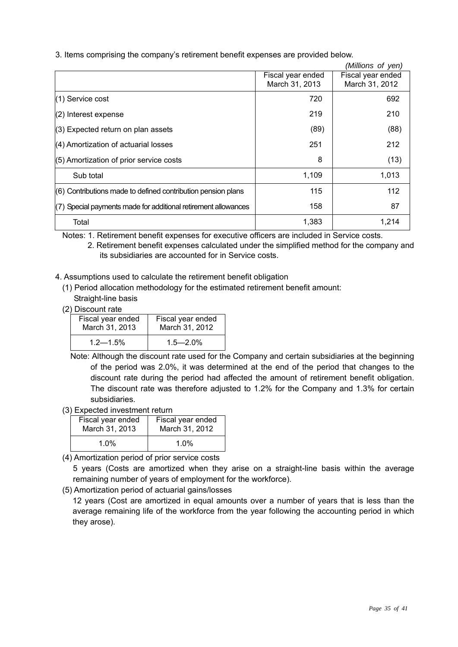3. Items comprising the company's retirement benefit expenses are provided below.

|                                                                |                                     | (Millions of yen)                   |
|----------------------------------------------------------------|-------------------------------------|-------------------------------------|
|                                                                | Fiscal year ended<br>March 31, 2013 | Fiscal year ended<br>March 31, 2012 |
| (1) Service cost                                               | 720                                 | 692                                 |
| $(2)$ Interest expense                                         | 219                                 | 210                                 |
| (3) Expected return on plan assets                             | (89)                                | (88)                                |
| (4) Amortization of actuarial losses                           | 251                                 | 212                                 |
| (5) Amortization of prior service costs                        | 8                                   | (13)                                |
| Sub total                                                      | 1,109                               | 1,013                               |
| (6) Contributions made to defined contribution pension plans   | 115                                 | 112                                 |
| (7) Special payments made for additional retirement allowances | 158                                 | 87                                  |
| Total                                                          | 1,383                               | 1,214                               |

Notes: 1. Retirement benefit expenses for executive officers are included in Service costs.

- 2. Retirement benefit expenses calculated under the simplified method for the company and its subsidiaries are accounted for in Service costs.
- 4. Assumptions used to calculate the retirement benefit obligation
	- (1) Period allocation methodology for the estimated retirement benefit amount: Straight-line basis
	- (2) Discount rate

| Fiscal year ended | Fiscal year ended |  |  |
|-------------------|-------------------|--|--|
| March 31, 2013    | March 31, 2012    |  |  |
| $1.2 - 1.5\%$     | $1.5 - 2.0\%$     |  |  |

Note: Although the discount rate used for the Company and certain subsidiaries at the beginning of the period was 2.0%, it was determined at the end of the period that changes to the discount rate during the period had affected the amount of retirement benefit obligation. The discount rate was therefore adjusted to 1.2% for the Company and 1.3% for certain subsidiaries.

(3) Expected investment return

| Fiscal year ended | Fiscal year ended |
|-------------------|-------------------|
| March 31, 2013    | March 31, 2012    |
| $1.0\%$           | $1.0\%$           |

(4) Amortization period of prior service costs

5 years (Costs are amortized when they arise on a straight-line basis within the average remaining number of years of employment for the workforce).

(5) Amortization period of actuarial gains/losses

12 years (Cost are amortized in equal amounts over a number of years that is less than the average remaining life of the workforce from the year following the accounting period in which they arose).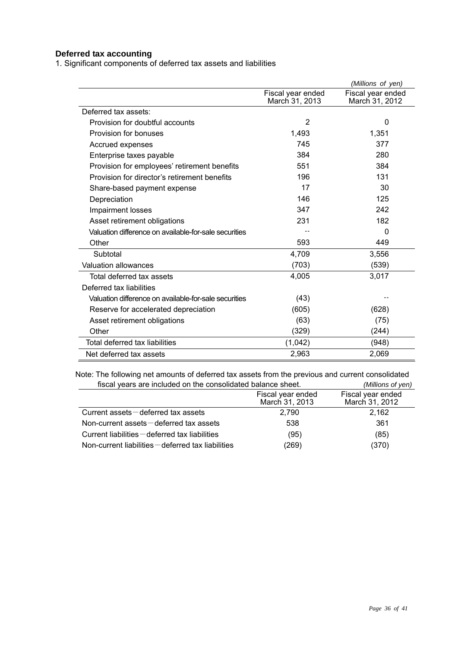## **Deferred tax accounting**

1. Significant components of deferred tax assets and liabilities

|                                                       |                                     | (Millions of yen)                   |
|-------------------------------------------------------|-------------------------------------|-------------------------------------|
|                                                       | Fiscal year ended<br>March 31, 2013 | Fiscal year ended<br>March 31, 2012 |
| Deferred tax assets:                                  |                                     |                                     |
| Provision for doubtful accounts                       | $\overline{2}$                      | 0                                   |
| Provision for bonuses                                 | 1,493                               | 1,351                               |
| Accrued expenses                                      | 745                                 | 377                                 |
| Enterprise taxes payable                              | 384                                 | 280                                 |
| Provision for employees' retirement benefits          | 551                                 | 384                                 |
| Provision for director's retirement benefits          | 196                                 | 131                                 |
| Share-based payment expense                           | 17                                  | 30                                  |
| Depreciation                                          | 146                                 | 125                                 |
| Impairment losses                                     | 347                                 | 242                                 |
| Asset retirement obligations                          | 231                                 | 182                                 |
| Valuation difference on available-for-sale securities |                                     | $\Omega$                            |
| Other                                                 | 593                                 | 449                                 |
| Subtotal                                              | 4,709                               | 3,556                               |
| <b>Valuation allowances</b>                           | (703)                               | (539)                               |
| Total deferred tax assets                             | 4,005                               | 3,017                               |
| Deferred tax liabilities                              |                                     |                                     |
| Valuation difference on available-for-sale securities | (43)                                |                                     |
| Reserve for accelerated depreciation                  | (605)                               | (628)                               |
| Asset retirement obligations                          | (63)                                | (75)                                |
| Other                                                 | (329)                               | (244)                               |
| Total deferred tax liabilities                        | (1,042)                             | (948)                               |
| Net deferred tax assets                               | 2,963                               | 2,069                               |

Note: The following net amounts of deferred tax assets from the previous and current consolidated fiscal years are included on the consolidated balance sheet. *(Millions of yen)*

|                                                            | Fiscal year ended<br>March 31, 2013 | Fiscal year ended<br>March 31, 2012 |
|------------------------------------------------------------|-------------------------------------|-------------------------------------|
| Current assets $-\theta$ deferred tax assets               | 2.790                               | 2.162                               |
| Non-current assets $-\theta$ deferred tax assets           | 538                                 | 361                                 |
| Current liabilities - deferred tax liabilities             | (95)                                | (85)                                |
| Non-current liabilities $-\theta$ deferred tax liabilities | (269)                               | (370)                               |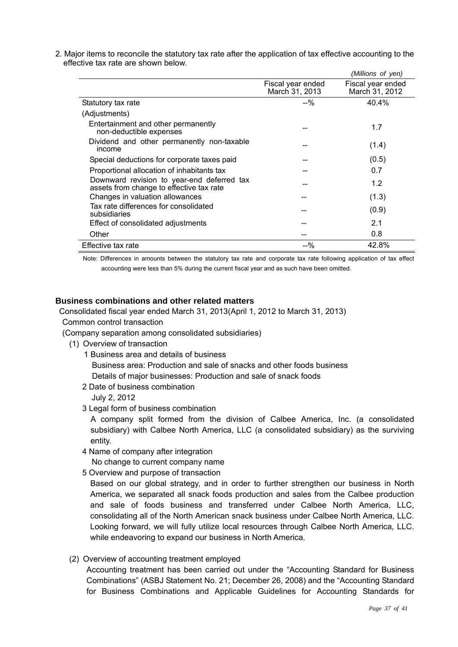|                                                                                        |                                     | (Millions of yen)                   |
|----------------------------------------------------------------------------------------|-------------------------------------|-------------------------------------|
|                                                                                        | Fiscal year ended<br>March 31, 2013 | Fiscal year ended<br>March 31, 2012 |
| Statutory tax rate                                                                     | $-90$                               | 40.4%                               |
| (Adjustments)                                                                          |                                     |                                     |
| Entertainment and other permanently<br>non-deductible expenses                         |                                     | 1.7                                 |
| Dividend and other permanently non-taxable<br>income                                   |                                     | (1.4)                               |
| Special deductions for corporate taxes paid                                            |                                     | (0.5)                               |
| Proportional allocation of inhabitants tax                                             |                                     | 0.7                                 |
| Downward revision to year-end deferred tax<br>assets from change to effective tax rate |                                     | 1.2                                 |
| Changes in valuation allowances                                                        |                                     | (1.3)                               |
| Tax rate differences for consolidated<br>subsidiaries                                  |                                     | (0.9)                               |
| Effect of consolidated adjustments                                                     |                                     | 2.1                                 |
| Other                                                                                  |                                     | 0.8                                 |
| Effective tax rate                                                                     | $-9/2$                              | 42.8%                               |

2. Major items to reconcile the statutory tax rate after the application of tax effective accounting to the effective tax rate are shown below.

Note: Differences in amounts between the statutory tax rate and corporate tax rate following application of tax effect accounting were less than 5% during the current fiscal year and as such have been omitted.

## **Business combinations and other related matters**

Consolidated fiscal year ended March 31, 2013(April 1, 2012 to March 31, 2013)

Common control transaction

(Company separation among consolidated subsidiaries)

- (1) Overview of transaction
	- 1 Business area and details of business

Business area: Production and sale of snacks and other foods business

Details of major businesses: Production and sale of snack foods

2 Date of business combination

July 2, 2012

3 Legal form of business combination

A company split formed from the division of Calbee America, Inc. (a consolidated subsidiary) with Calbee North America, LLC (a consolidated subsidiary) as the surviving entity.

4 Name of company after integration

No change to current company name

5 Overview and purpose of transaction

 Based on our global strategy, and in order to further strengthen our business in North America, we separated all snack foods production and sales from the Calbee production and sale of foods business and transferred under Calbee North America, LLC, consolidating all of the North American snack business under Calbee North America, LLC. Looking forward, we will fully utilize local resources through Calbee North America, LLC. while endeavoring to expand our business in North America.

(2) Overview of accounting treatment employed

Accounting treatment has been carried out under the "Accounting Standard for Business Combinations" (ASBJ Statement No. 21; December 26, 2008) and the "Accounting Standard for Business Combinations and Applicable Guidelines for Accounting Standards for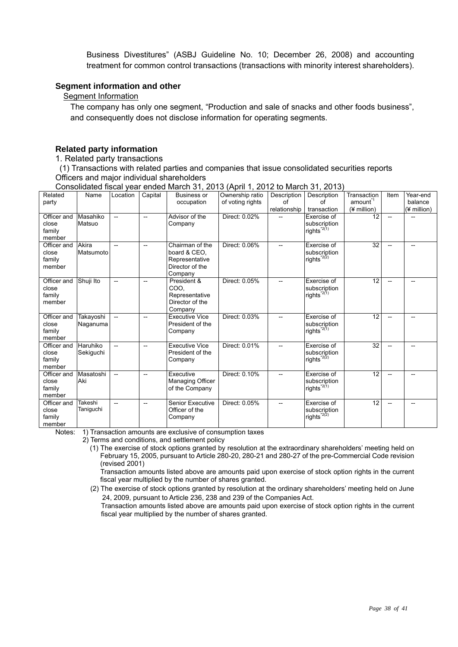Business Divestitures" (ASBJ Guideline No. 10; December 26, 2008) and accounting treatment for common control transactions (transactions with minority interest shareholders).

#### **Segment information and other**

## **Segment Information**

 The company has only one segment, "Production and sale of snacks and other foods business", and consequently does not disclose information for operating segments.

## **Related party information**

## 1. Related party transactions

(1) Transactions with related parties and companies that issue consolidated securities reports Officers and major individual shareholders

|                                          |                       |                          |                          |                                                                                 | $\cdots$                            |                                   |                                                        |                                                   |                          |                                    |
|------------------------------------------|-----------------------|--------------------------|--------------------------|---------------------------------------------------------------------------------|-------------------------------------|-----------------------------------|--------------------------------------------------------|---------------------------------------------------|--------------------------|------------------------------------|
| Related<br>party                         | Name                  | Location                 | Capital                  | <b>Business or</b><br>occupation                                                | Ownership ratio<br>of voting rights | Description<br>of<br>relationship | Description<br>of<br>transaction                       | Transaction<br>amount <sup>1</sup><br>(¥ million) | Item                     | Year-end<br>balance<br>(¥ million) |
| Officer and<br>close<br>family<br>member | Masahiko<br>Matsuo    | $\overline{\phantom{a}}$ | $\overline{\phantom{0}}$ | Advisor of the<br>Company                                                       | Direct: 0.02%                       |                                   | Exercise of<br>subscription<br>rights <sup>*2(1)</sup> | 12                                                | $\overline{\phantom{0}}$ |                                    |
| Officer and<br>close<br>family<br>member | Akira<br>Matsumoto    | --                       | $\overline{\phantom{0}}$ | Chairman of the<br>board & CEO,<br>Representative<br>Director of the<br>Company | Direct: 0.06%                       | $-$                               | Exercise of<br>subscription<br>rights $^{*2(2)}$       | 32                                                | $\overline{a}$           | --                                 |
| Officer and<br>close<br>family<br>member | Shuji Ito             | $\overline{\phantom{0}}$ | $\overline{\phantom{0}}$ | President &<br>COO.<br>Representative<br>Director of the<br>Company             | Direct: 0.05%                       | $-$                               | Exercise of<br>subscription<br>rights <sup>*2(1)</sup> | 12                                                | $\overline{a}$           |                                    |
| Officer and<br>close<br>family<br>member | Takayoshi<br>Naganuma | $\overline{\phantom{a}}$ | $\overline{\phantom{a}}$ | <b>Executive Vice</b><br>President of the<br>Company                            | Direct: 0.03%                       | $-$                               | Exercise of<br>subscription<br>rights <sup>*2(1)</sup> | 12                                                |                          |                                    |
| Officer and<br>close<br>family<br>member | Haruhiko<br>Sekiguchi | $\overline{\phantom{0}}$ | $\overline{\phantom{0}}$ | <b>Executive Vice</b><br>President of the<br>Company                            | Direct: 0.01%                       | $\overline{\phantom{a}}$          | Exercise of<br>subscription<br>rights <sup>*2(2)</sup> | $\overline{32}$                                   |                          | $\overline{\phantom{a}}$           |
| Officer and<br>close<br>family<br>member | Masatoshi<br>Aki      | $\overline{\phantom{a}}$ |                          | Executive<br>Managing Officer<br>of the Company                                 | Direct: 0.10%                       |                                   | Exercise of<br>subscription<br>rights <sup>*2(1)</sup> | 12                                                |                          |                                    |
| Officer and<br>close<br>family<br>member | Takeshi<br>Taniguchi  | $\overline{\phantom{0}}$ | $-$                      | Senior Executive<br>Officer of the<br>Company                                   | Direct: 0.05%                       | $\overline{a}$                    | Exercise of<br>subscription<br>rights <sup>*2(2)</sup> | 12                                                |                          | $\overline{a}$                     |

Consolidated fiscal year ended March 31, 2013 (April 1, 2012 to March 31, 2013)

Notes: 1) Transaction amounts are exclusive of consumption taxes

2) Terms and conditions, and settlement policy

 (1) The exercise of stock options granted by resolution at the extraordinary shareholders' meeting held on February 15, 2005, pursuant to Article 280-20, 280-21 and 280-27 of the pre-Commercial Code revision (revised 2001)

 Transaction amounts listed above are amounts paid upon exercise of stock option rights in the current fiscal year multiplied by the number of shares granted.

(2) The exercise of stock options granted by resolution at the ordinary shareholders' meeting held on June 24, 2009, pursuant to Article 236, 238 and 239 of the Companies Act.

Transaction amounts listed above are amounts paid upon exercise of stock option rights in the current fiscal year multiplied by the number of shares granted.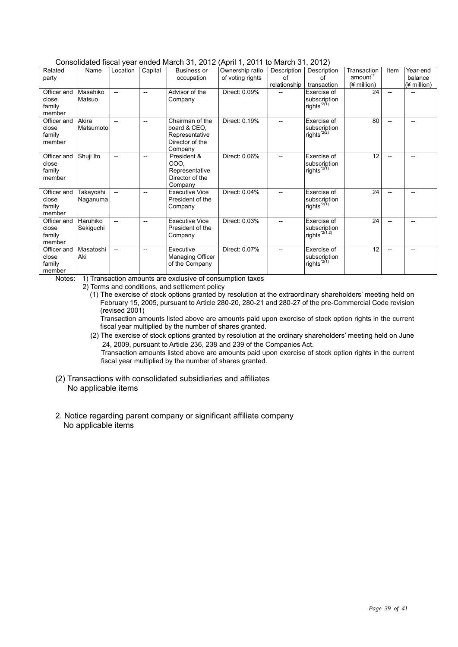| CONSOMARCA MSCAL VEAL ENGEGIMATCH 3T, ZUTZ (ADITET, ZUTT 10 MATCH 3T, ZUTZ) |                       |                          |                          |                                                                                 |                                     |                   |                                                                    |                                    |                          |                     |
|-----------------------------------------------------------------------------|-----------------------|--------------------------|--------------------------|---------------------------------------------------------------------------------|-------------------------------------|-------------------|--------------------------------------------------------------------|------------------------------------|--------------------------|---------------------|
| Related<br>party                                                            | Name                  | Location                 | Capital                  | <b>Business or</b><br>occupation                                                | Ownership ratio<br>of voting rights | Description<br>Ωf | Description<br>Ωf                                                  | Transaction<br>amount <sup>1</sup> | Item                     | Year-end<br>balance |
|                                                                             |                       |                          |                          |                                                                                 |                                     | relationship      | transaction                                                        | (¥ million)                        |                          | (¥ million)         |
| Officer and<br>close<br>family<br>member                                    | Masahiko<br>Matsuo    | $-$                      | $\overline{\phantom{a}}$ | Advisor of the<br>Company                                                       | Direct: 0.09%                       |                   | Exercise of<br>subscription<br>rights $^{\star_{2(1)}}$            | 24                                 | $\overline{\phantom{a}}$ |                     |
| Officer and<br>close<br>family<br>member                                    | Akira<br>Matsumoto    |                          | $-$                      | Chairman of the<br>board & CEO.<br>Representative<br>Director of the<br>Company | Direct: 0.19%                       |                   | Exercise of<br>subscription<br>rights <sup><math>2(2)</math></sup> | 80                                 | $\overline{\phantom{a}}$ | --                  |
| Officer and<br>close<br>family<br>member                                    | Shuji Ito             | $-$                      | --                       | President &<br>COO.<br>Representative<br>Director of the<br>Company             | Direct: 0.06%                       | $-$               | Exercise of<br>subscription<br>rights <sup>*2(1)</sup>             | 12                                 |                          |                     |
| Officer and<br>close<br>family<br>member                                    | Takayoshi<br>Naganuma | $\overline{\phantom{0}}$ |                          | <b>Executive Vice</b><br>President of the<br>Company                            | Direct: 0.04%                       |                   | Exercise of<br>subscription<br>rights $^{\star_{2(1)}}$            | 24                                 |                          |                     |
| Officer and<br>close<br>family<br>member                                    | Haruhiko<br>Sekiguchi | $\overline{\phantom{0}}$ |                          | <b>Executive Vice</b><br>President of the<br>Company                            | Direct: 0.03%                       |                   | Exercise of<br>subscription<br>rights <sup>*2(1,2)</sup>           | 24                                 |                          |                     |
| Officer and<br>close<br>family<br>member                                    | Masatoshi<br>Aki      | $-$                      |                          | Executive<br>Managing Officer<br>of the Company                                 | Direct: 0.07%                       |                   | Exercise of<br>subscription<br>rights <sup><math>2(1)</math></sup> | 12                                 |                          |                     |

#### Consolidated fiscal year ended March 31, 2012 (April 1, 2011 to March 31, 2012)

Notes: 1) Transaction amounts are exclusive of consumption taxes

2) Terms and conditions, and settlement policy

 (1) The exercise of stock options granted by resolution at the extraordinary shareholders' meeting held on February 15, 2005, pursuant to Article 280-20, 280-21 and 280-27 of the pre-Commercial Code revision (revised 2001)

 Transaction amounts listed above are amounts paid upon exercise of stock option rights in the current fiscal year multiplied by the number of shares granted.

(2) The exercise of stock options granted by resolution at the ordinary shareholders' meeting held on June 24, 2009, pursuant to Article 236, 238 and 239 of the Companies Act.

Transaction amounts listed above are amounts paid upon exercise of stock option rights in the current fiscal year multiplied by the number of shares granted.

- (2) Transactions with consolidated subsidiaries and affiliates No applicable items
- 2. Notice regarding parent company or significant affiliate company No applicable items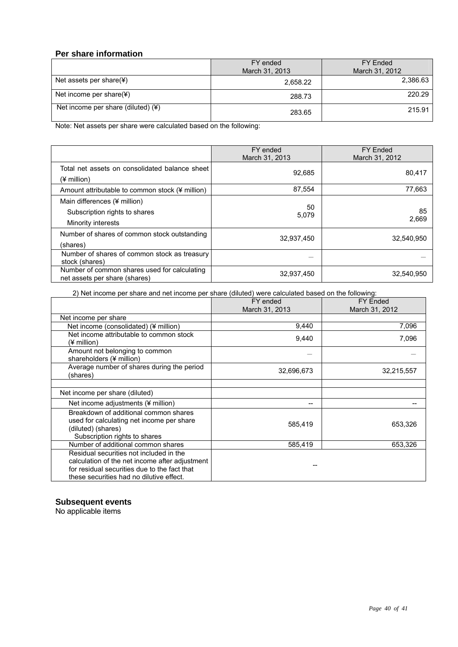## **Per share information**

|                                                | FY ended       | FY Ended       |  |
|------------------------------------------------|----------------|----------------|--|
|                                                | March 31, 2013 | March 31, 2012 |  |
| Net assets per share $(\frac{1}{2})$           | 2,658.22       | 2,386.63       |  |
| Net income per share $(\frac{1}{2})$           | 288.73         | 220.29         |  |
| Net income per share (diluted) $(\frac{4}{3})$ | 283.65         | 215.91         |  |

Note: Net assets per share were calculated based on the following:

|                                                                                     | FY ended<br>March 31, 2013 | <b>FY Ended</b><br>March 31, 2012 |
|-------------------------------------------------------------------------------------|----------------------------|-----------------------------------|
| Total net assets on consolidated balance sheet<br>$(4$ million)                     | 92.685                     | 80,417                            |
| Amount attributable to common stock (¥ million)                                     | 87,554                     | 77,663                            |
| Main differences (¥ million)<br>Subscription rights to shares<br>Minority interests | 50<br>5,079                | 85<br>2,669                       |
| Number of shares of common stock outstanding<br>(shares)                            | 32,937,450                 | 32,540,950                        |
| Number of shares of common stock as treasury<br>stock (shares)                      |                            |                                   |
| Number of common shares used for calculating<br>net assets per share (shares)       | 32,937,450                 | 32,540,950                        |

2) Net income per share and net income per share (diluted) were calculated based on the following:

|                                                                                                                                                                                       | FY ended       | <b>FY Ended</b> |
|---------------------------------------------------------------------------------------------------------------------------------------------------------------------------------------|----------------|-----------------|
|                                                                                                                                                                                       | March 31, 2013 | March 31, 2012  |
| Net income per share                                                                                                                                                                  |                |                 |
| Net income (consolidated) (¥ million)                                                                                                                                                 | 9,440          | 7,096           |
| Net income attributable to common stock<br>(¥ million)                                                                                                                                | 9,440          | 7,096           |
| Amount not belonging to common<br>shareholders (¥ million)                                                                                                                            |                |                 |
| Average number of shares during the period<br>(shares)                                                                                                                                | 32,696,673     | 32,215,557      |
|                                                                                                                                                                                       |                |                 |
| Net income per share (diluted)                                                                                                                                                        |                |                 |
| Net income adjustments (¥ million)                                                                                                                                                    |                |                 |
| Breakdown of additional common shares<br>used for calculating net income per share<br>(diluted) (shares)<br>Subscription rights to shares                                             | 585,419        | 653,326         |
| Number of additional common shares                                                                                                                                                    | 585,419        | 653,326         |
| Residual securities not included in the<br>calculation of the net income after adjustment<br>for residual securities due to the fact that<br>these securities had no dilutive effect. |                |                 |

#### **Subsequent events**

No applicable items